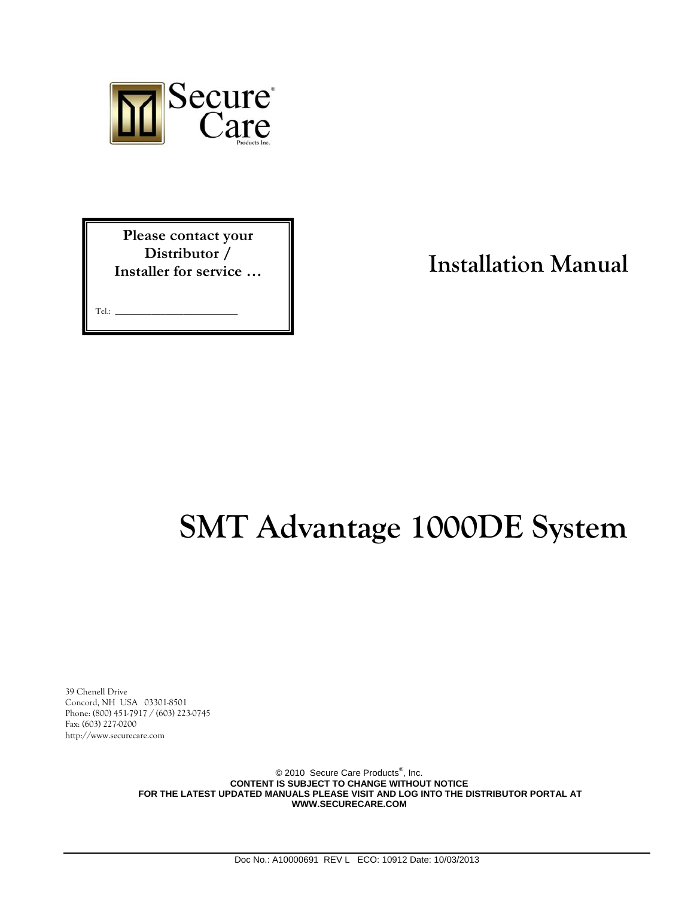

**Please contact your Distributor / Installer for service …** 

Tel.: **\_\_\_\_\_\_\_\_\_\_\_\_\_\_\_\_\_\_\_\_\_\_\_\_\_\_\_**

**Installation Manual**

# **SMT Advantage 1000DE System**

39 Chenell Drive Concord, NH USA 03301-8501 Phone: (800) 451-7917 / (603) 223-0745 Fax: (603) 227-0200 http://www.securecare.com

> © 2010 Secure Care Products<sup>®</sup>, Inc. **CONTENT IS SUBJECT TO CHANGE WITHOUT NOTICE FOR THE LATEST UPDATED MANUALS PLEASE VISIT AND LOG INTO THE DISTRIBUTOR PORTAL AT WWW.SECURECARE.COM**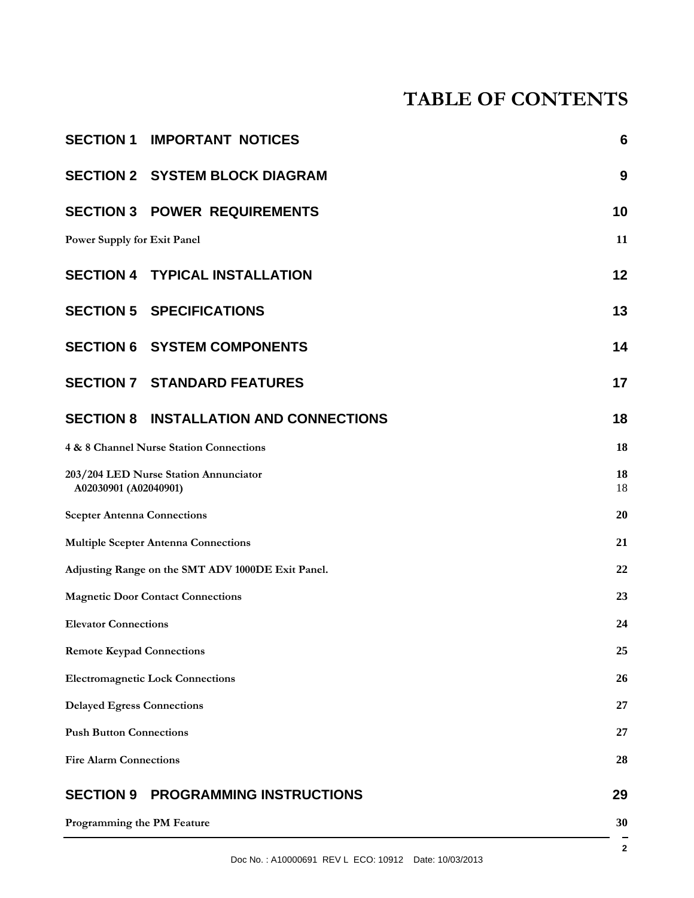# **TABLE OF CONTENTS**

| <b>SECTION 1 IMPORTANT NOTICES</b><br>6                        |                |
|----------------------------------------------------------------|----------------|
| <b>SECTION 2 SYSTEM BLOCK DIAGRAM</b><br>9                     |                |
| <b>SECTION 3 POWER REQUIREMENTS</b><br>10                      |                |
| Power Supply for Exit Panel                                    |                |
| <b>SECTION 4 TYPICAL INSTALLATION</b>                          | 12             |
| <b>SECTION 5 SPECIFICATIONS</b>                                | 13             |
| <b>SECTION 6 SYSTEM COMPONENTS</b>                             | 14             |
| <b>SECTION 7 STANDARD FEATURES</b>                             | 17             |
| <b>SECTION 8 INSTALLATION AND CONNECTIONS</b>                  | 18             |
| 4 & 8 Channel Nurse Station Connections                        | 18             |
| 203/204 LED Nurse Station Annunciator<br>A02030901 (A02040901) | 18<br>18       |
| <b>Scepter Antenna Connections</b>                             | 20             |
| <b>Multiple Scepter Antenna Connections</b>                    | 21             |
| Adjusting Range on the SMT ADV 1000DE Exit Panel.              | 22             |
| <b>Magnetic Door Contact Connections</b>                       | 23             |
| <b>Elevator Connections</b><br>24                              |                |
| 25<br><b>Remote Keypad Connections</b>                         |                |
| <b>Electromagnetic Lock Connections</b>                        |                |
| <b>Delayed Egress Connections</b>                              |                |
| <b>Push Button Connections</b>                                 |                |
| 28<br><b>Fire Alarm Connections</b>                            |                |
| <b>SECTION 9</b><br><b>PROGRAMMING INSTRUCTIONS</b>            | 29             |
| Programming the PM Feature                                     | 30             |
| Doc No.: A10000691 REV L ECO: 10912 Date: 10/03/2013           | $\overline{2}$ |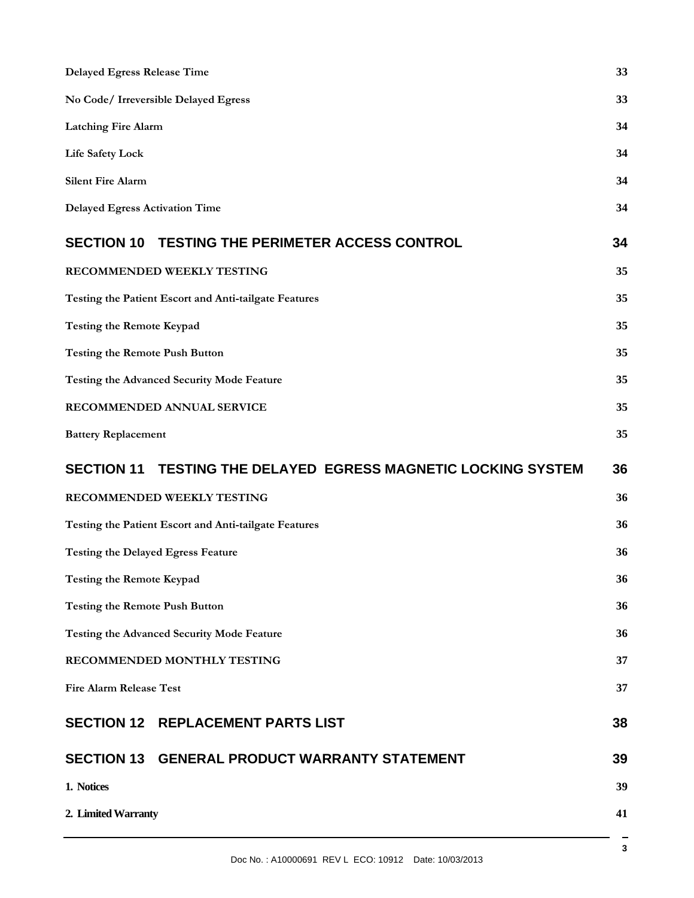| <b>Delayed Egress Release Time</b>                                      | 33 |
|-------------------------------------------------------------------------|----|
| No Code/ Irreversible Delayed Egress                                    | 33 |
| <b>Latching Fire Alarm</b>                                              | 34 |
| <b>Life Safety Lock</b>                                                 | 34 |
| <b>Silent Fire Alarm</b>                                                | 34 |
| <b>Delayed Egress Activation Time</b>                                   | 34 |
| <b>TESTING THE PERIMETER ACCESS CONTROL</b><br><b>SECTION 10</b>        | 34 |
| RECOMMENDED WEEKLY TESTING                                              | 35 |
| Testing the Patient Escort and Anti-tailgate Features                   | 35 |
| <b>Testing the Remote Keypad</b>                                        | 35 |
| <b>Testing the Remote Push Button</b>                                   | 35 |
| <b>Testing the Advanced Security Mode Feature</b>                       | 35 |
| RECOMMENDED ANNUAL SERVICE                                              | 35 |
| <b>Battery Replacement</b>                                              | 35 |
| TESTING THE DELAYED EGRESS MAGNETIC LOCKING SYSTEM<br><b>SECTION 11</b> | 36 |
| RECOMMENDED WEEKLY TESTING                                              | 36 |
| Testing the Patient Escort and Anti-tailgate Features                   | 36 |
| <b>Testing the Delayed Egress Feature</b>                               | 36 |
| <b>Testing the Remote Keypad</b>                                        | 36 |
| <b>Testing the Remote Push Button</b>                                   | 36 |
| <b>Testing the Advanced Security Mode Feature</b>                       | 36 |
| RECOMMENDED MONTHLY TESTING                                             | 37 |
| <b>Fire Alarm Release Test</b>                                          | 37 |
|                                                                         |    |
| <b>SECTION 12 REPLACEMENT PARTS LIST</b>                                | 38 |
| SECTION 13 GENERAL PRODUCT WARRANTY STATEMENT                           | 39 |
| 1. Notices                                                              | 39 |
| 2. Limited Warranty                                                     | 41 |

3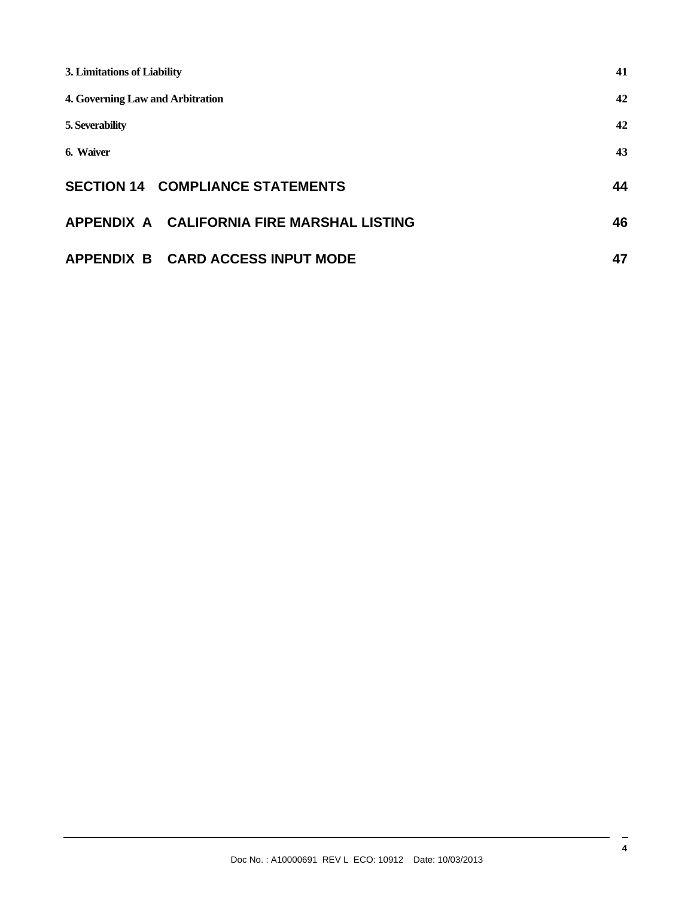| 3. Limitations of Liability                | 41 |
|--------------------------------------------|----|
| 4. Governing Law and Arbitration           | 42 |
| 5. Severability                            | 42 |
| 6. Waiver                                  | 43 |
| <b>SECTION 14 COMPLIANCE STATEMENTS</b>    | 44 |
| APPENDIX A CALIFORNIA FIRE MARSHAL LISTING | 46 |
| APPENDIX B CARD ACCESS INPUT MODE          | 47 |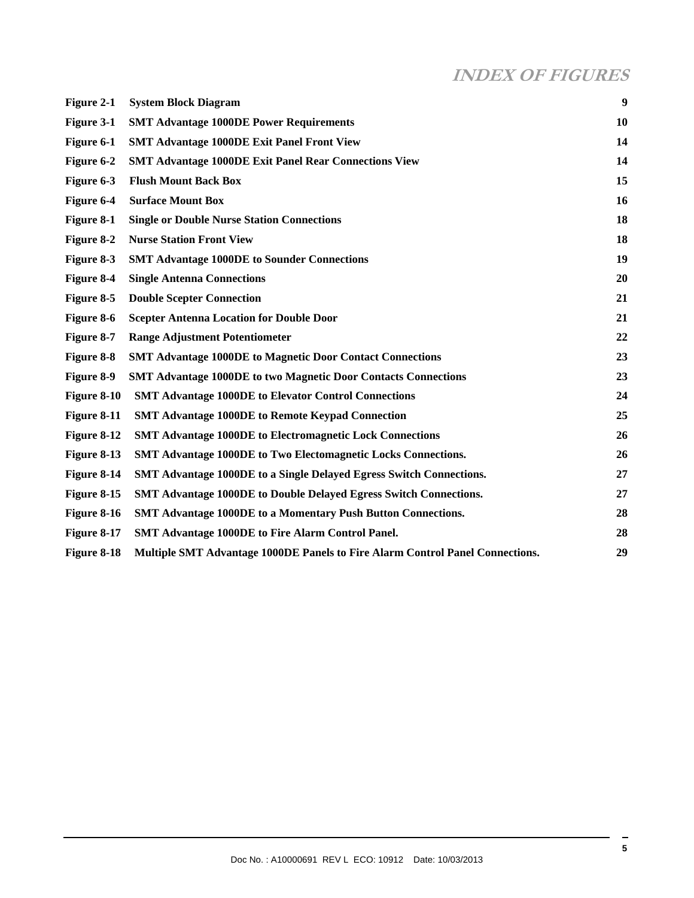# **INDEX OF FIGURES**

| Figure 2-1  | <b>System Block Diagram</b>                                                          | $\boldsymbol{9}$ |
|-------------|--------------------------------------------------------------------------------------|------------------|
| Figure 3-1  | <b>SMT Advantage 1000DE Power Requirements</b>                                       | 10               |
| Figure 6-1  | <b>SMT Advantage 1000DE Exit Panel Front View</b>                                    | 14               |
| Figure 6-2  | <b>SMT Advantage 1000DE Exit Panel Rear Connections View</b>                         | 14               |
| Figure 6-3  | <b>Flush Mount Back Box</b>                                                          | 15               |
| Figure 6-4  | <b>Surface Mount Box</b>                                                             | 16               |
| Figure 8-1  | <b>Single or Double Nurse Station Connections</b>                                    | 18               |
| Figure 8-2  | <b>Nurse Station Front View</b>                                                      | 18               |
| Figure 8-3  | <b>SMT Advantage 1000DE to Sounder Connections</b>                                   | 19               |
| Figure 8-4  | <b>Single Antenna Connections</b>                                                    | 20               |
| Figure 8-5  | <b>Double Scepter Connection</b>                                                     | 21               |
| Figure 8-6  | <b>Scepter Antenna Location for Double Door</b>                                      | 21               |
| Figure 8-7  | <b>Range Adjustment Potentiometer</b>                                                | 22               |
| Figure 8-8  | <b>SMT Advantage 1000DE to Magnetic Door Contact Connections</b>                     | 23               |
| Figure 8-9  | <b>SMT Advantage 1000DE to two Magnetic Door Contacts Connections</b>                | 23               |
| Figure 8-10 | <b>SMT Advantage 1000DE to Elevator Control Connections</b>                          | 24               |
| Figure 8-11 | <b>SMT Advantage 1000DE to Remote Keypad Connection</b>                              | 25               |
| Figure 8-12 | <b>SMT Advantage 1000DE to Electromagnetic Lock Connections</b>                      | 26               |
| Figure 8-13 | SMT Advantage 1000DE to Two Electomagnetic Locks Connections.                        | 26               |
| Figure 8-14 | <b>SMT Advantage 1000DE to a Single Delayed Egress Switch Connections.</b>           | 27               |
| Figure 8-15 | <b>SMT Advantage 1000DE to Double Delayed Egress Switch Connections.</b>             | 27               |
| Figure 8-16 | SMT Advantage 1000DE to a Momentary Push Button Connections.                         | 28               |
| Figure 8-17 | <b>SMT Advantage 1000DE to Fire Alarm Control Panel.</b>                             | 28               |
| Figure 8-18 | <b>Multiple SMT Advantage 1000DE Panels to Fire Alarm Control Panel Connections.</b> | 29               |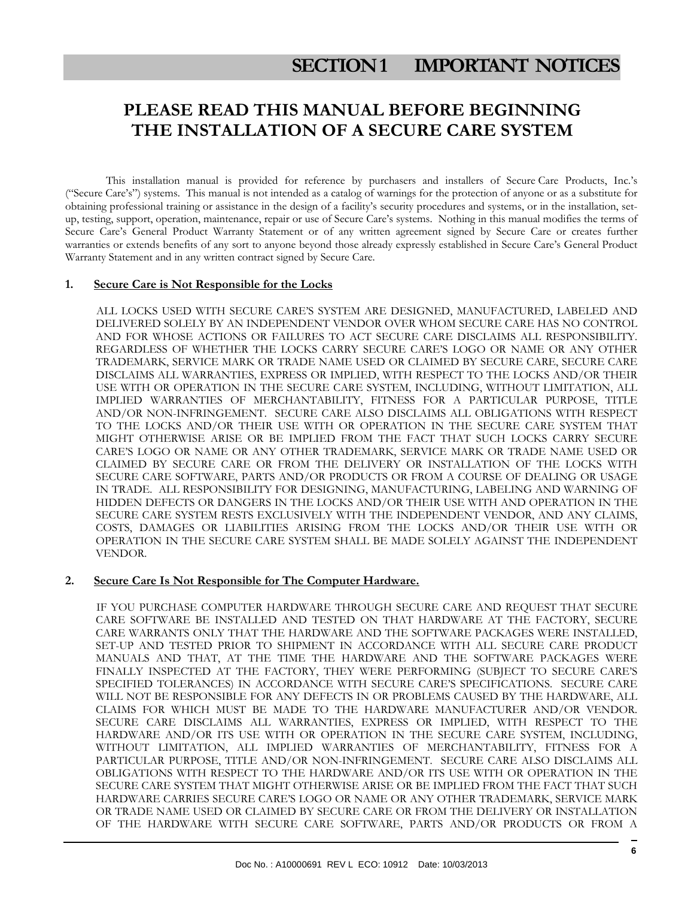# **SECTION 1 IMPORTANT NOTICES**

# **PLEASE READ THIS MANUAL BEFORE BEGINNING THE INSTALLATION OF A SECURE CARE SYSTEM**

This installation manual is provided for reference by purchasers and installers of Secure Care Products, Inc.'s ("Secure Care's") systems. This manual is not intended as a catalog of warnings for the protection of anyone or as a substitute for obtaining professional training or assistance in the design of a facility's security procedures and systems, or in the installation, setup, testing, support, operation, maintenance, repair or use of Secure Care's systems. Nothing in this manual modifies the terms of Secure Care's General Product Warranty Statement or of any written agreement signed by Secure Care or creates further warranties or extends benefits of any sort to anyone beyond those already expressly established in Secure Care's General Product Warranty Statement and in any written contract signed by Secure Care.

#### **1. Secure Care is Not Responsible for the Locks**

 ALL LOCKS USED WITH SECURE CARE'S SYSTEM ARE DESIGNED, MANUFACTURED, LABELED AND DELIVERED SOLELY BY AN INDEPENDENT VENDOR OVER WHOM SECURE CARE HAS NO CONTROL AND FOR WHOSE ACTIONS OR FAILURES TO ACT SECURE CARE DISCLAIMS ALL RESPONSIBILITY. REGARDLESS OF WHETHER THE LOCKS CARRY SECURE CARE'S LOGO OR NAME OR ANY OTHER TRADEMARK, SERVICE MARK OR TRADE NAME USED OR CLAIMED BY SECURE CARE, SECURE CARE DISCLAIMS ALL WARRANTIES, EXPRESS OR IMPLIED, WITH RESPECT TO THE LOCKS AND/OR THEIR USE WITH OR OPERATION IN THE SECURE CARE SYSTEM, INCLUDING, WITHOUT LIMITATION, ALL IMPLIED WARRANTIES OF MERCHANTABILITY, FITNESS FOR A PARTICULAR PURPOSE, TITLE AND/OR NON-INFRINGEMENT. SECURE CARE ALSO DISCLAIMS ALL OBLIGATIONS WITH RESPECT TO THE LOCKS AND/OR THEIR USE WITH OR OPERATION IN THE SECURE CARE SYSTEM THAT MIGHT OTHERWISE ARISE OR BE IMPLIED FROM THE FACT THAT SUCH LOCKS CARRY SECURE CARE'S LOGO OR NAME OR ANY OTHER TRADEMARK, SERVICE MARK OR TRADE NAME USED OR CLAIMED BY SECURE CARE OR FROM THE DELIVERY OR INSTALLATION OF THE LOCKS WITH SECURE CARE SOFTWARE, PARTS AND/OR PRODUCTS OR FROM A COURSE OF DEALING OR USAGE IN TRADE. ALL RESPONSIBILITY FOR DESIGNING, MANUFACTURING, LABELING AND WARNING OF HIDDEN DEFECTS OR DANGERS IN THE LOCKS AND/OR THEIR USE WITH AND OPERATION IN THE SECURE CARE SYSTEM RESTS EXCLUSIVELY WITH THE INDEPENDENT VENDOR, AND ANY CLAIMS, COSTS, DAMAGES OR LIABILITIES ARISING FROM THE LOCKS AND/OR THEIR USE WITH OR OPERATION IN THE SECURE CARE SYSTEM SHALL BE MADE SOLELY AGAINST THE INDEPENDENT VENDOR.

#### **2. Secure Care Is Not Responsible for The Computer Hardware.**

 IF YOU PURCHASE COMPUTER HARDWARE THROUGH SECURE CARE AND REQUEST THAT SECURE CARE SOFTWARE BE INSTALLED AND TESTED ON THAT HARDWARE AT THE FACTORY, SECURE CARE WARRANTS ONLY THAT THE HARDWARE AND THE SOFTWARE PACKAGES WERE INSTALLED, SET-UP AND TESTED PRIOR TO SHIPMENT IN ACCORDANCE WITH ALL SECURE CARE PRODUCT MANUALS AND THAT, AT THE TIME THE HARDWARE AND THE SOFTWARE PACKAGES WERE FINALLY INSPECTED AT THE FACTORY, THEY WERE PERFORMING (SUBJECT TO SECURE CARE'S SPECIFIED TOLERANCES) IN ACCORDANCE WITH SECURE CARE'S SPECIFICATIONS. SECURE CARE WILL NOT BE RESPONSIBLE FOR ANY DEFECTS IN OR PROBLEMS CAUSED BY THE HARDWARE, ALL CLAIMS FOR WHICH MUST BE MADE TO THE HARDWARE MANUFACTURER AND/OR VENDOR. SECURE CARE DISCLAIMS ALL WARRANTIES, EXPRESS OR IMPLIED, WITH RESPECT TO THE HARDWARE AND/OR ITS USE WITH OR OPERATION IN THE SECURE CARE SYSTEM, INCLUDING, WITHOUT LIMITATION, ALL IMPLIED WARRANTIES OF MERCHANTABILITY, FITNESS FOR A PARTICULAR PURPOSE, TITLE AND/OR NON-INFRINGEMENT. SECURE CARE ALSO DISCLAIMS ALL OBLIGATIONS WITH RESPECT TO THE HARDWARE AND/OR ITS USE WITH OR OPERATION IN THE SECURE CARE SYSTEM THAT MIGHT OTHERWISE ARISE OR BE IMPLIED FROM THE FACT THAT SUCH HARDWARE CARRIES SECURE CARE'S LOGO OR NAME OR ANY OTHER TRADEMARK, SERVICE MARK OR TRADE NAME USED OR CLAIMED BY SECURE CARE OR FROM THE DELIVERY OR INSTALLATION OF THE HARDWARE WITH SECURE CARE SOFTWARE, PARTS AND/OR PRODUCTS OR FROM A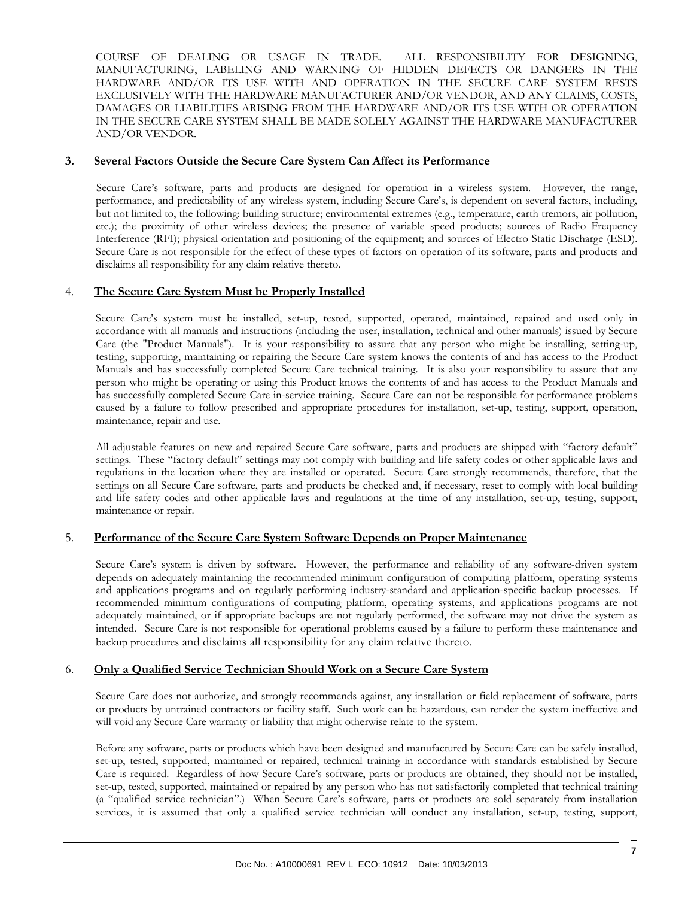COURSE OF DEALING OR USAGE IN TRADE. ALL RESPONSIBILITY FOR DESIGNING, MANUFACTURING, LABELING AND WARNING OF HIDDEN DEFECTS OR DANGERS IN THE HARDWARE AND/OR ITS USE WITH AND OPERATION IN THE SECURE CARE SYSTEM RESTS EXCLUSIVELY WITH THE HARDWARE MANUFACTURER AND/OR VENDOR, AND ANY CLAIMS, COSTS, DAMAGES OR LIABILITIES ARISING FROM THE HARDWARE AND/OR ITS USE WITH OR OPERATION IN THE SECURE CARE SYSTEM SHALL BE MADE SOLELY AGAINST THE HARDWARE MANUFACTURER AND/OR VENDOR.

#### **3. Several Factors Outside the Secure Care System Can Affect its Performance**

 Secure Care's software, parts and products are designed for operation in a wireless system. However, the range, performance, and predictability of any wireless system, including Secure Care's, is dependent on several factors, including, but not limited to, the following: building structure; environmental extremes (e.g., temperature, earth tremors, air pollution, etc.); the proximity of other wireless devices; the presence of variable speed products; sources of Radio Frequency Interference (RFI); physical orientation and positioning of the equipment; and sources of Electro Static Discharge (ESD). Secure Care is not responsible for the effect of these types of factors on operation of its software, parts and products and disclaims all responsibility for any claim relative thereto.

#### 4. **The Secure Care System Must be Properly Installed**

Secure Care's system must be installed, set-up, tested, supported, operated, maintained, repaired and used only in accordance with all manuals and instructions (including the user, installation, technical and other manuals) issued by Secure Care (the "Product Manuals"). It is your responsibility to assure that any person who might be installing, setting-up, testing, supporting, maintaining or repairing the Secure Care system knows the contents of and has access to the Product Manuals and has successfully completed Secure Care technical training. It is also your responsibility to assure that any person who might be operating or using this Product knows the contents of and has access to the Product Manuals and has successfully completed Secure Care in-service training. Secure Care can not be responsible for performance problems caused by a failure to follow prescribed and appropriate procedures for installation, set-up, testing, support, operation, maintenance, repair and use.

All adjustable features on new and repaired Secure Care software, parts and products are shipped with "factory default" settings. These "factory default" settings may not comply with building and life safety codes or other applicable laws and regulations in the location where they are installed or operated. Secure Care strongly recommends, therefore, that the settings on all Secure Care software, parts and products be checked and, if necessary, reset to comply with local building and life safety codes and other applicable laws and regulations at the time of any installation, set-up, testing, support, maintenance or repair.

#### 5. **Performance of the Secure Care System Software Depends on Proper Maintenance**

Secure Care's system is driven by software. However, the performance and reliability of any software-driven system depends on adequately maintaining the recommended minimum configuration of computing platform, operating systems and applications programs and on regularly performing industry-standard and application-specific backup processes. If recommended minimum configurations of computing platform, operating systems, and applications programs are not adequately maintained, or if appropriate backups are not regularly performed, the software may not drive the system as intended. Secure Care is not responsible for operational problems caused by a failure to perform these maintenance and backup procedures and disclaims all responsibility for any claim relative thereto.

#### 6. **Only a Qualified Service Technician Should Work on a Secure Care System**

Secure Care does not authorize, and strongly recommends against, any installation or field replacement of software, parts or products by untrained contractors or facility staff. Such work can be hazardous, can render the system ineffective and will void any Secure Care warranty or liability that might otherwise relate to the system.

Before any software, parts or products which have been designed and manufactured by Secure Care can be safely installed, set-up, tested, supported, maintained or repaired, technical training in accordance with standards established by Secure Care is required. Regardless of how Secure Care's software, parts or products are obtained, they should not be installed, set-up, tested, supported, maintained or repaired by any person who has not satisfactorily completed that technical training (a "qualified service technician".) When Secure Care's software, parts or products are sold separately from installation services, it is assumed that only a qualified service technician will conduct any installation, set-up, testing, support,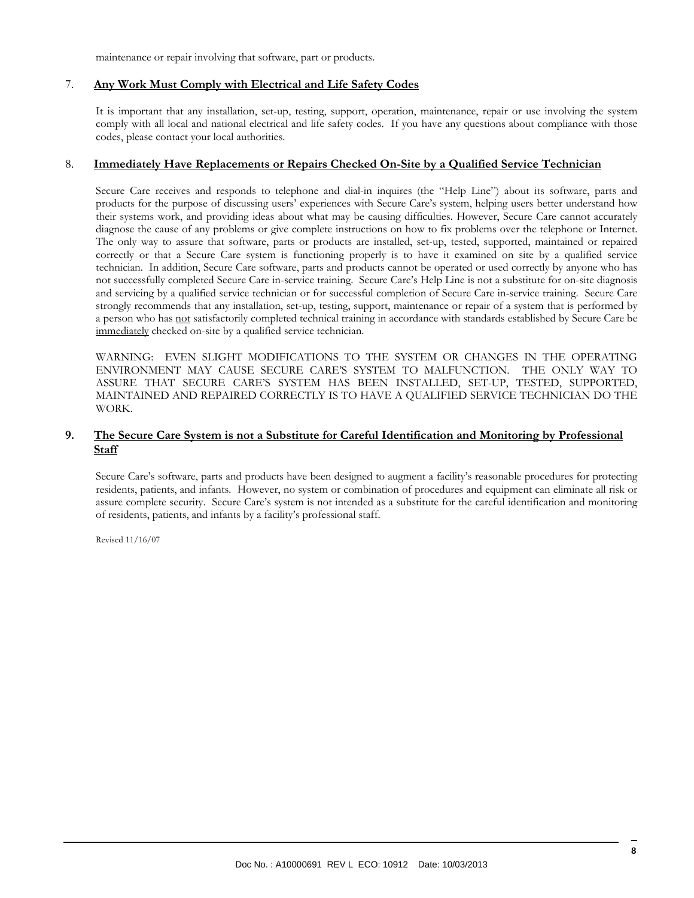maintenance or repair involving that software, part or products.

#### 7. **Any Work Must Comply with Electrical and Life Safety Codes**

It is important that any installation, set-up, testing, support, operation, maintenance, repair or use involving the system comply with all local and national electrical and life safety codes. If you have any questions about compliance with those codes, please contact your local authorities.

#### 8. **Immediately Have Replacements or Repairs Checked On-Site by a Qualified Service Technician**

Secure Care receives and responds to telephone and dial-in inquires (the "Help Line") about its software, parts and products for the purpose of discussing users' experiences with Secure Care's system, helping users better understand how their systems work, and providing ideas about what may be causing difficulties. However, Secure Care cannot accurately diagnose the cause of any problems or give complete instructions on how to fix problems over the telephone or Internet. The only way to assure that software, parts or products are installed, set-up, tested, supported, maintained or repaired correctly or that a Secure Care system is functioning properly is to have it examined on site by a qualified service technician. In addition, Secure Care software, parts and products cannot be operated or used correctly by anyone who has not successfully completed Secure Care in-service training. Secure Care's Help Line is not a substitute for on-site diagnosis and servicing by a qualified service technician or for successful completion of Secure Care in-service training. Secure Care strongly recommends that any installation, set-up, testing, support, maintenance or repair of a system that is performed by a person who has not satisfactorily completed technical training in accordance with standards established by Secure Care be immediately checked on-site by a qualified service technician.

WARNING: EVEN SLIGHT MODIFICATIONS TO THE SYSTEM OR CHANGES IN THE OPERATING ENVIRONMENT MAY CAUSE SECURE CARE'S SYSTEM TO MALFUNCTION. THE ONLY WAY TO ASSURE THAT SECURE CARE'S SYSTEM HAS BEEN INSTALLED, SET-UP, TESTED, SUPPORTED, MAINTAINED AND REPAIRED CORRECTLY IS TO HAVE A QUALIFIED SERVICE TECHNICIAN DO THE WORK.

#### **9. The Secure Care System is not a Substitute for Careful Identification and Monitoring by Professional Staff**

Secure Care's software, parts and products have been designed to augment a facility's reasonable procedures for protecting residents, patients, and infants. However, no system or combination of procedures and equipment can eliminate all risk or assure complete security. Secure Care's system is not intended as a substitute for the careful identification and monitoring of residents, patients, and infants by a facility's professional staff.

Revised 11/16/07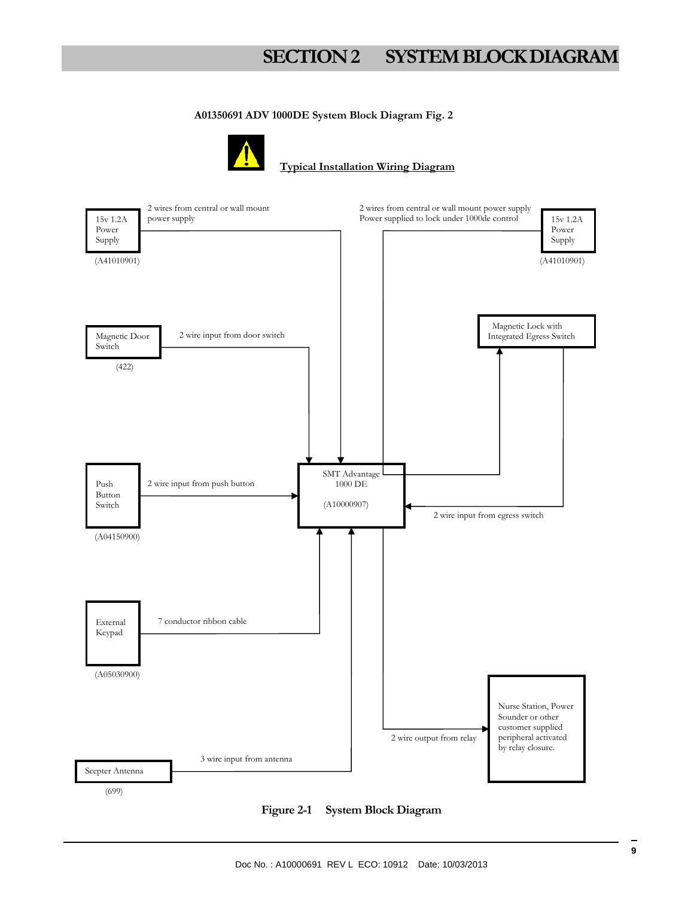# **SECTION 2 SYSTEM BLOCK DIAGRAM**

#### **A01350691 ADV 1000DE System Block Diagram Fig. 2**



#### **Typical Installation Wiring Diagram**

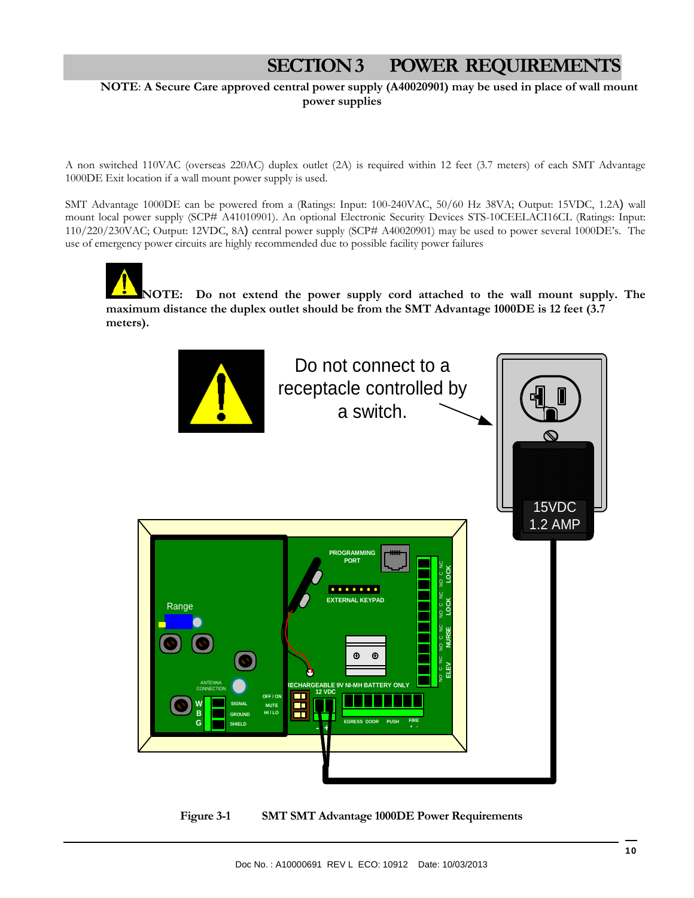# **SECTION 3 POWER REQUIREMENTS**

#### **NOTE**: **A Secure Care approved central power supply (A40020901) may be used in place of wall mount power supplies**

A non switched 110VAC (overseas 220AC) duplex outlet (2A) is required within 12 feet (3.7 meters) of each SMT Advantage 1000DE Exit location if a wall mount power supply is used.

SMT Advantage 1000DE can be powered from a (Ratings: Input: 100-240VAC, 50/60 Hz 38VA; Output: 15VDC, 1.2A) wall mount local power supply (SCP# A41010901). An optional Electronic Security Devices STS-10CEELACI16CL (Ratings: Input: 110/220/230VAC; Output: 12VDC, 8A) central power supply (SCP# A40020901) may be used to power several 1000DE's. The use of emergency power circuits are highly recommended due to possible facility power failures

**NOTE: Do not extend the power supply cord attached to the wall mount supply. The maximum distance the duplex outlet should be from the SMT Advantage 1000DE is 12 feet (3.7 meters).** 



**Figure 3-1 SMT SMT Advantage 1000DE Power Requirements**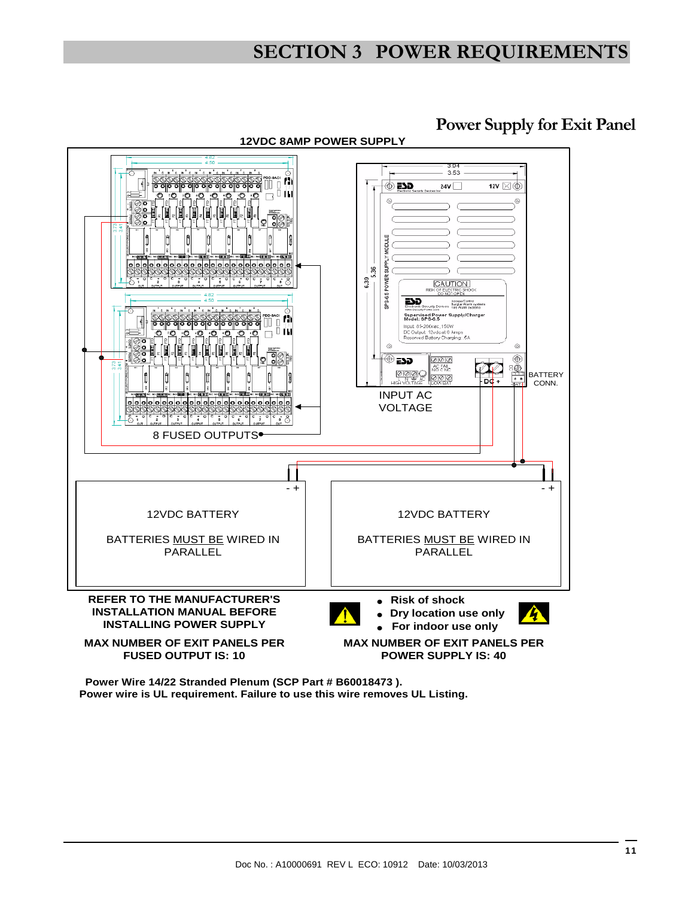# **SECTION 3 POWER REQUIREMENTS**

![](_page_10_Figure_1.jpeg)

### **Power Supply for Exit Panel**

**Power wire is UL requirement. Failure to use this wire removes UL Listing. Power Wire 14/22 Stranded Plenum (SCP Part # B60018473 ).**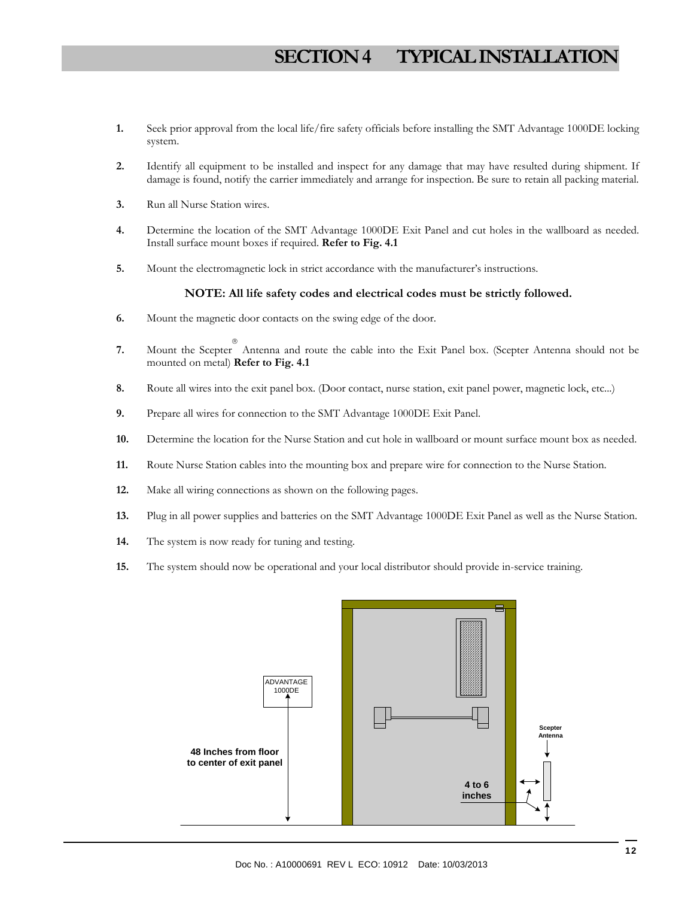# **SECTION 4 TYPICAL INSTALLATION**

- **1.** Seek prior approval from the local life/fire safety officials before installing the SMT Advantage 1000DE locking system.
- **2.** Identify all equipment to be installed and inspect for any damage that may have resulted during shipment. If damage is found, notify the carrier immediately and arrange for inspection. Be sure to retain all packing material.
- **3.** Run all Nurse Station wires.
- **4.** Determine the location of the SMT Advantage 1000DE Exit Panel and cut holes in the wallboard as needed. Install surface mount boxes if required. **Refer to Fig. 4.1**
- **5.** Mount the electromagnetic lock in strict accordance with the manufacturer's instructions.

#### **NOTE: All life safety codes and electrical codes must be strictly followed.**

- **6.** Mount the magnetic door contacts on the swing edge of the door.
- **7.** Mount the Scepter Antenna and route the cable into the Exit Panel box. (Scepter Antenna should not be mounted on metal) **Refer to Fig. 4.1**
- **8.** Route all wires into the exit panel box. (Door contact, nurse station, exit panel power, magnetic lock, etc...)
- **9.** Prepare all wires for connection to the SMT Advantage 1000DE Exit Panel.
- **10.** Determine the location for the Nurse Station and cut hole in wallboard or mount surface mount box as needed.
- **11.** Route Nurse Station cables into the mounting box and prepare wire for connection to the Nurse Station.
- **12.** Make all wiring connections as shown on the following pages.
- **13.** Plug in all power supplies and batteries on the SMT Advantage 1000DE Exit Panel as well as the Nurse Station.
- **14.** The system is now ready for tuning and testing.
- **15.** The system should now be operational and your local distributor should provide in-service training.

![](_page_11_Figure_17.jpeg)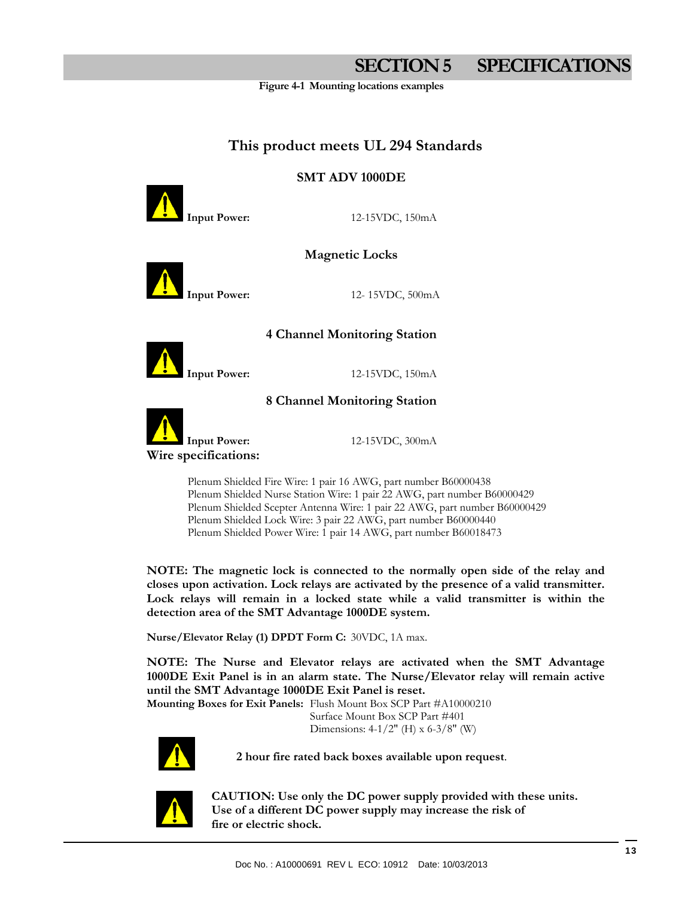# **SECTION 5 SPECIFICATIONS**

**Figure 4-1 Mounting locations examples** 

#### **This product meets UL 294 Standards**

#### **SMT ADV 1000DE**

**Input Power:** 12-15VDC, 150mA

#### **Magnetic Locks**

![](_page_12_Picture_7.jpeg)

**Input Power:** 12- 15VDC, 500mA

#### **4 Channel Monitoring Station**

![](_page_12_Picture_10.jpeg)

**Input Power:** 12-15VDC, 150mA

#### **8 Channel Monitoring Station**

![](_page_12_Picture_13.jpeg)

**Input Power:** 12-15VDC, 300mA

 Plenum Shielded Fire Wire: 1 pair 16 AWG, part number B60000438 Plenum Shielded Nurse Station Wire: 1 pair 22 AWG, part number B60000429 Plenum Shielded Scepter Antenna Wire: 1 pair 22 AWG, part number B60000429 Plenum Shielded Lock Wire: 3 pair 22 AWG, part number B60000440 Plenum Shielded Power Wire: 1 pair 14 AWG, part number B60018473

**NOTE: The magnetic lock is connected to the normally open side of the relay and closes upon activation. Lock relays are activated by the presence of a valid transmitter. Lock relays will remain in a locked state while a valid transmitter is within the detection area of the SMT Advantage 1000DE system.** 

**Nurse/Elevator Relay (1) DPDT Form C:** 30VDC, 1A max.

**NOTE: The Nurse and Elevator relays are activated when the SMT Advantage 1000DE Exit Panel is in an alarm state. The Nurse/Elevator relay will remain active until the SMT Advantage 1000DE Exit Panel is reset.** 

**Mounting Boxes for Exit Panels:** Flush Mount Box SCP Part #A10000210 Surface Mount Box SCP Part #401 Dimensions: 4-1/2" (H) x 6-3/8" (W)

![](_page_12_Picture_20.jpeg)

**2 hour fire rated back boxes available upon request**.

![](_page_12_Picture_22.jpeg)

 **CAUTION: Use only the DC power supply provided with these units. Use of a different DC power supply may increase the risk of fire or electric shock.**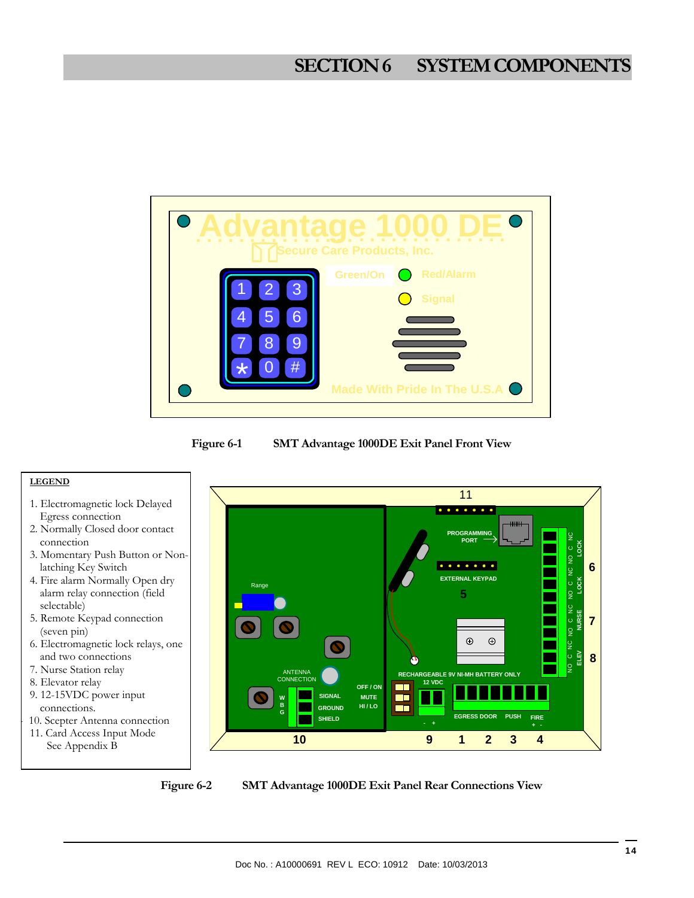# **SECTION 6 SYSTEM COMPONENTS**

![](_page_13_Picture_1.jpeg)

**Figure 6-1 SMT Advantage 1000DE Exit Panel Front View** 

![](_page_13_Figure_3.jpeg)

**Figure 6-2 SMT Advantage 1000DE Exit Panel Rear Connections View**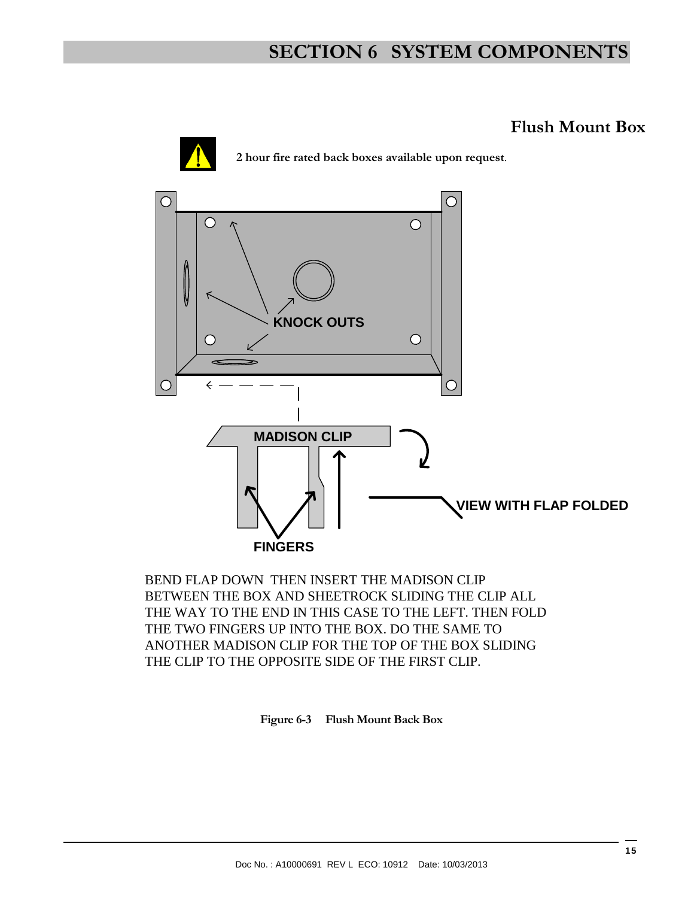# **SECTION 6 SYSTEM COMPONENTS**

# **Flush Mount Box**

**2 hour fire rated back boxes available upon request**.

![](_page_14_Figure_4.jpeg)

BEND FLAP DOWN THEN INSERT THE MADISON CLIP BETWEEN THE BOX AND SHEETROCK SLIDING THE CLIP ALL THE WAY TO THE END IN THIS CASE TO THE LEFT. THEN FOLD THE TWO FINGERS UP INTO THE BOX. DO THE SAME TO ANOTHER MADISON CLIP FOR THE TOP OF THE BOX SLIDING THE CLIP TO THE OPPOSITE SIDE OF THE FIRST CLIP.

![](_page_14_Figure_6.jpeg)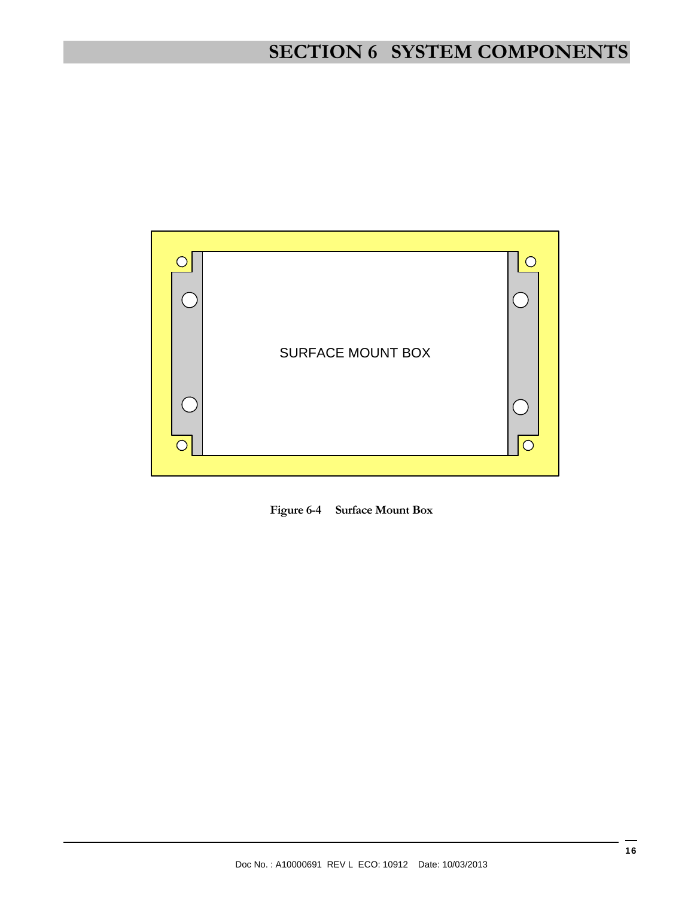# **SECTION 6 SYSTEM COMPONENTS**

![](_page_15_Picture_1.jpeg)

![](_page_15_Figure_2.jpeg)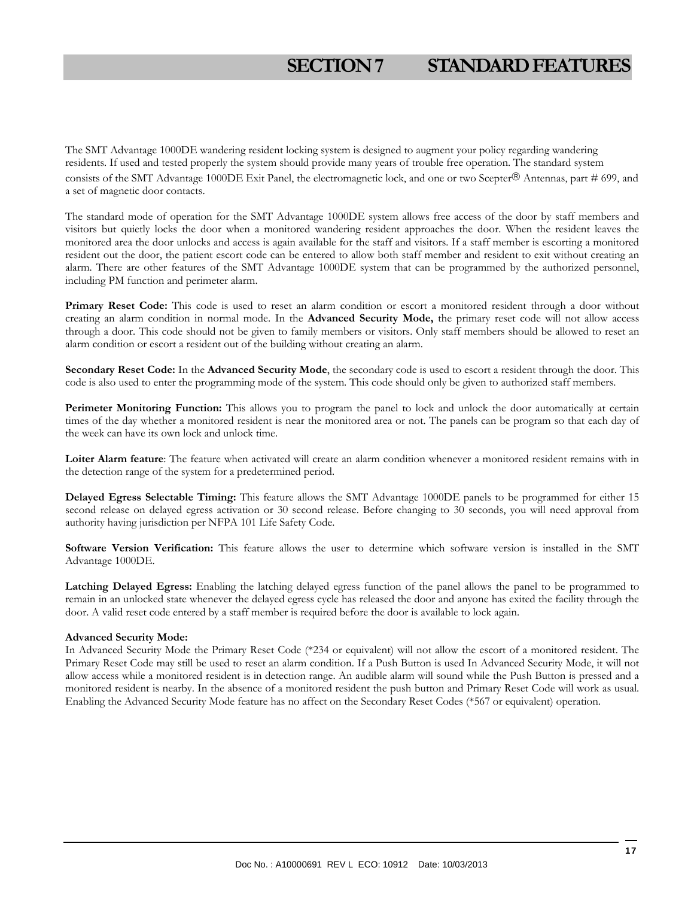# **SECTION 7 STANDARD FEATURES**

The SMT Advantage 1000DE wandering resident locking system is designed to augment your policy regarding wandering residents. If used and tested properly the system should provide many years of trouble free operation. The standard system consists of the SMT Advantage 1000DE Exit Panel, the electromagnetic lock, and one or two Scepter® Antennas, part # 699, and a set of magnetic door contacts.

The standard mode of operation for the SMT Advantage 1000DE system allows free access of the door by staff members and visitors but quietly locks the door when a monitored wandering resident approaches the door. When the resident leaves the monitored area the door unlocks and access is again available for the staff and visitors. If a staff member is escorting a monitored resident out the door, the patient escort code can be entered to allow both staff member and resident to exit without creating an alarm. There are other features of the SMT Advantage 1000DE system that can be programmed by the authorized personnel, including PM function and perimeter alarm.

Primary Reset Code: This code is used to reset an alarm condition or escort a monitored resident through a door without creating an alarm condition in normal mode. In the **Advanced Security Mode,** the primary reset code will not allow access through a door. This code should not be given to family members or visitors. Only staff members should be allowed to reset an alarm condition or escort a resident out of the building without creating an alarm.

**Secondary Reset Code:** In the **Advanced Security Mode**, the secondary code is used to escort a resident through the door. This code is also used to enter the programming mode of the system. This code should only be given to authorized staff members.

**Perimeter Monitoring Function:** This allows you to program the panel to lock and unlock the door automatically at certain times of the day whether a monitored resident is near the monitored area or not. The panels can be program so that each day of the week can have its own lock and unlock time.

**Loiter Alarm feature**: The feature when activated will create an alarm condition whenever a monitored resident remains with in the detection range of the system for a predetermined period.

**Delayed Egress Selectable Timing:** This feature allows the SMT Advantage 1000DE panels to be programmed for either 15 second release on delayed egress activation or 30 second release. Before changing to 30 seconds, you will need approval from authority having jurisdiction per NFPA 101 Life Safety Code.

**Software Version Verification:** This feature allows the user to determine which software version is installed in the SMT Advantage 1000DE.

**Latching Delayed Egress:** Enabling the latching delayed egress function of the panel allows the panel to be programmed to remain in an unlocked state whenever the delayed egress cycle has released the door and anyone has exited the facility through the door. A valid reset code entered by a staff member is required before the door is available to lock again.

#### **Advanced Security Mode:**

In Advanced Security Mode the Primary Reset Code (\*234 or equivalent) will not allow the escort of a monitored resident. The Primary Reset Code may still be used to reset an alarm condition. If a Push Button is used In Advanced Security Mode, it will not allow access while a monitored resident is in detection range. An audible alarm will sound while the Push Button is pressed and a monitored resident is nearby. In the absence of a monitored resident the push button and Primary Reset Code will work as usual. Enabling the Advanced Security Mode feature has no affect on the Secondary Reset Codes (\*567 or equivalent) operation.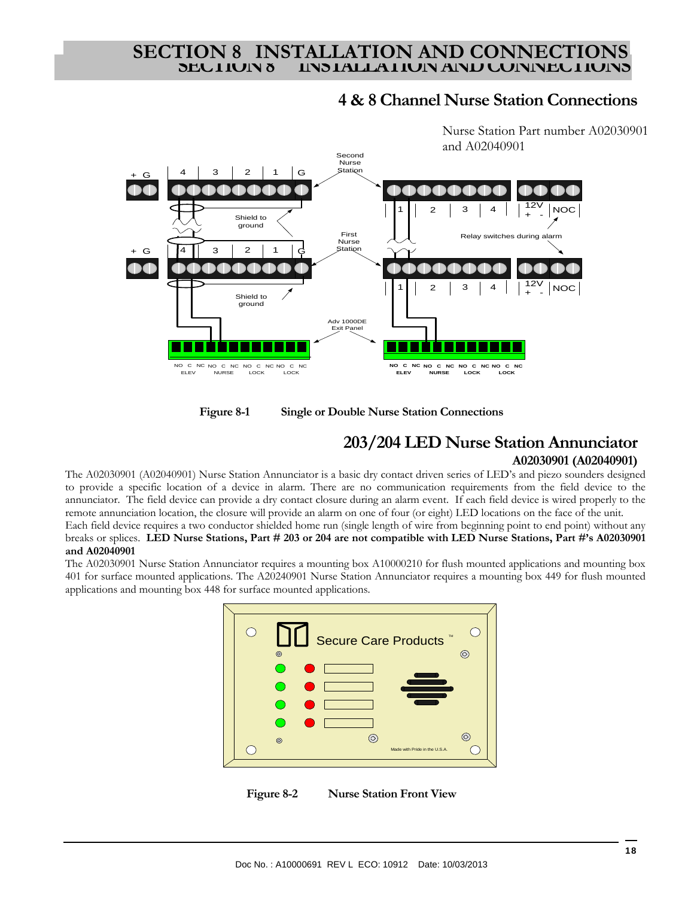# **SECTION 8 INSTALLATION AND CONNECTION**<br>
SECTION 8 INSTALLATION AND CONNECTION

### **4 & 8 Channel Nurse Station Connections**

![](_page_17_Figure_2.jpeg)

Nurse Station Part number A02030901 and A02040901

![](_page_17_Figure_4.jpeg)

### **203/204 LED Nurse Station Annunciator A02030901 (A02040901)**

The A02030901 (A02040901) Nurse Station Annunciator is a basic dry contact driven series of LED's and piezo sounders designed to provide a specific location of a device in alarm. There are no communication requirements from the field device to the annunciator. The field device can provide a dry contact closure during an alarm event. If each field device is wired properly to the remote annunciation location, the closure will provide an alarm on one of four (or eight) LED locations on the face of the unit.

Each field device requires a two conductor shielded home run (single length of wire from beginning point to end point) without any breaks or splices. **LED Nurse Stations, Part # 203 or 204 are not compatible with LED Nurse Stations, Part #'s A02030901 and A02040901** 

The A02030901 Nurse Station Annunciator requires a mounting box A10000210 for flush mounted applications and mounting box 401 for surface mounted applications. The A20240901 Nurse Station Annunciator requires a mounting box 449 for flush mounted applications and mounting box 448 for surface mounted applications.

![](_page_17_Figure_9.jpeg)

![](_page_17_Figure_10.jpeg)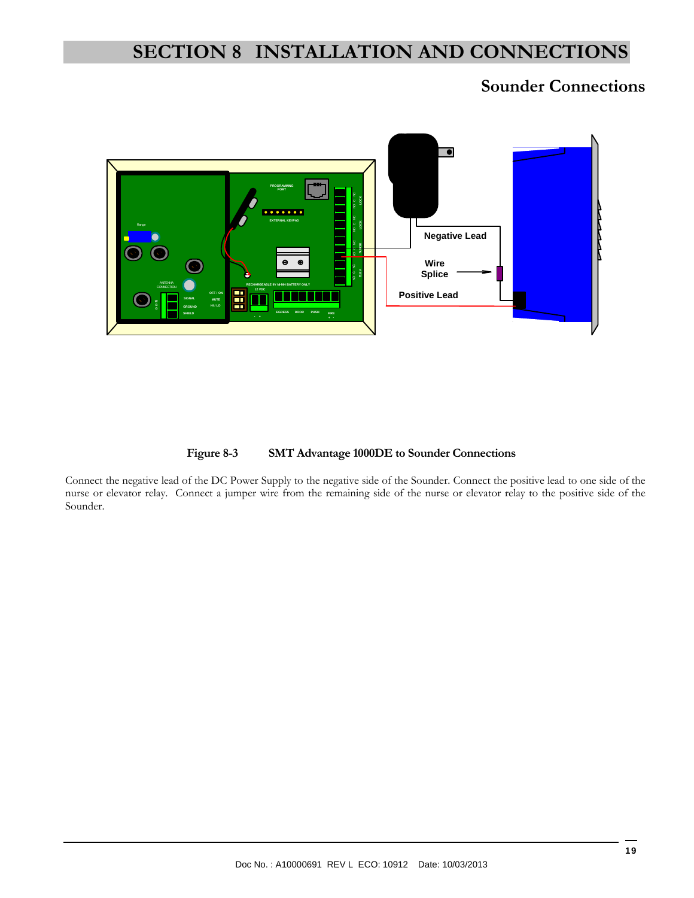# **SECTION 8 INSTALLATION AND CONNECTIONS**

# **Sounder Connections**

![](_page_18_Figure_2.jpeg)

#### **Figure 8-3 SMT Advantage 1000DE to Sounder Connections**

Connect the negative lead of the DC Power Supply to the negative side of the Sounder. Connect the positive lead to one side of the nurse or elevator relay. Connect a jumper wire from the remaining side of the nurse or elevator relay to the positive side of the Sounder.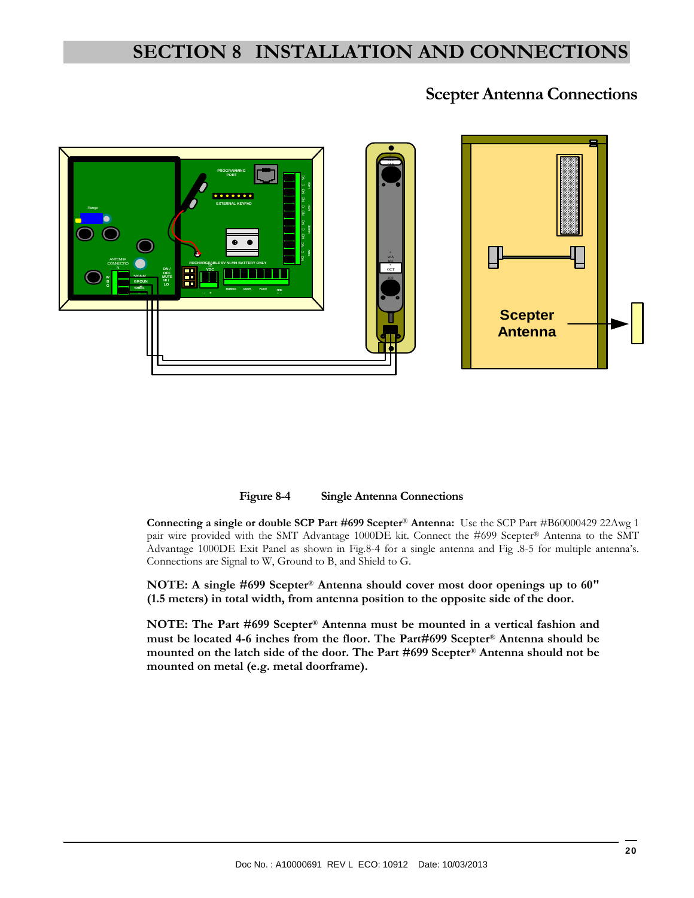# **SECTION 8 INSTALLATION AND CONNECTIONS**

# **Scepter Antenna Connections**

![](_page_19_Picture_2.jpeg)

**Figure 8-4 Single Antenna Connections** 

**Connecting a single or double SCP Part #699 Scepter**® **Antenna:** Use the SCP Part #B60000429 22Awg 1 pair wire provided with the SMT Advantage 1000DE kit. Connect the #699 Scepter® Antenna to the SMT Advantage 1000DE Exit Panel as shown in Fig.8-4 for a single antenna and Fig .8-5 for multiple antenna's. Connections are Signal to W, Ground to B, and Shield to G.

**NOTE: A single #699 Scepter**® **Antenna should cover most door openings up to 60" (1.5 meters) in total width, from antenna position to the opposite side of the door.** 

**NOTE: The Part #699 Scepter**® **Antenna must be mounted in a vertical fashion and must be located 4-6 inches from the floor. The Part#699 Scepter**® **Antenna should be mounted on the latch side of the door. The Part #699 Scepter**® **Antenna should not be mounted on metal (e.g. metal doorframe).**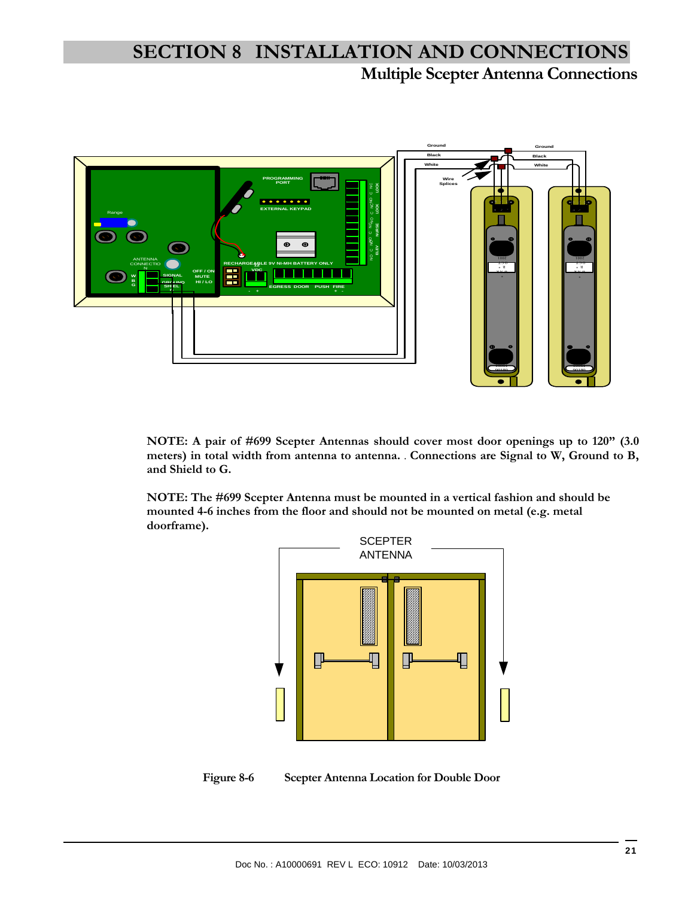# **Multiple Scepter Antenna Connections SECTION 8 INSTALLATION AND CONNECTIONS**

![](_page_20_Figure_1.jpeg)

**NOTE: A pair of #699 Scepter Antennas should cover most door openings up to 120" (3.0 meters) in total width from antenna to antenna.** . **Connections are Signal to W, Ground to B, and Shield to G.** 

**NOTE: The #699 Scepter Antenna must be mounted in a vertical fashion and should be mounted 4-6 inches from the floor and should not be mounted on metal (e.g. metal doorframe).**

![](_page_20_Figure_4.jpeg)

**Figure 8-6 Scepter Antenna Location for Double Door**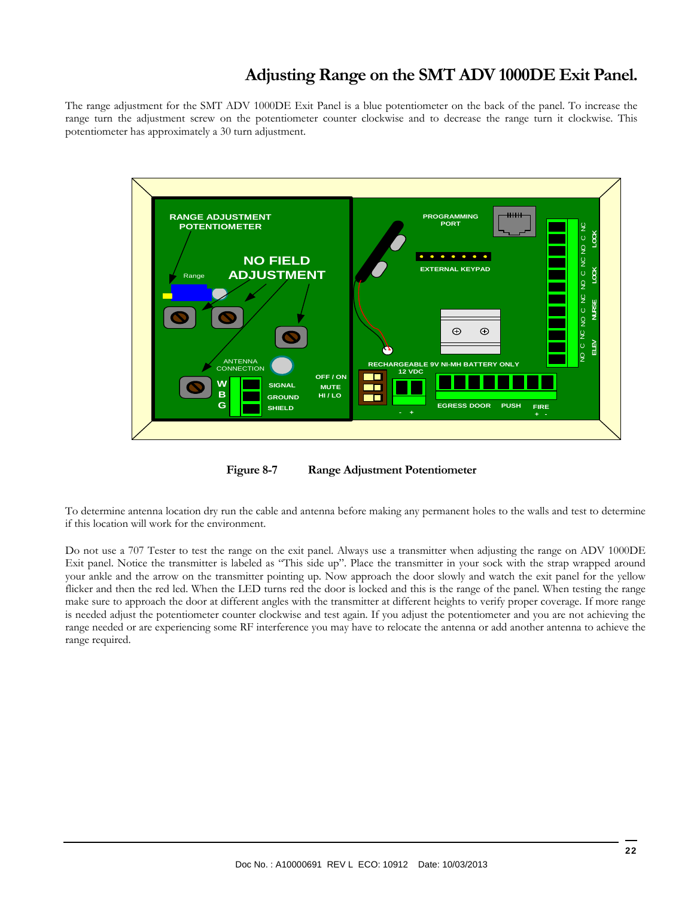# **Adjusting Range on the SMT ADV 1000DE Exit Panel.**

The range adjustment for the SMT ADV 1000DE Exit Panel is a blue potentiometer on the back of the panel. To increase the range turn the adjustment screw on the potentiometer counter clockwise and to decrease the range turn it clockwise. This potentiometer has approximately a 30 turn adjustment.

![](_page_21_Figure_2.jpeg)

**Figure 8-7 Range Adjustment Potentiometer** 

To determine antenna location dry run the cable and antenna before making any permanent holes to the walls and test to determine if this location will work for the environment.

Do not use a 707 Tester to test the range on the exit panel. Always use a transmitter when adjusting the range on ADV 1000DE Exit panel. Notice the transmitter is labeled as "This side up". Place the transmitter in your sock with the strap wrapped around your ankle and the arrow on the transmitter pointing up. Now approach the door slowly and watch the exit panel for the yellow flicker and then the red led. When the LED turns red the door is locked and this is the range of the panel. When testing the range make sure to approach the door at different angles with the transmitter at different heights to verify proper coverage. If more range is needed adjust the potentiometer counter clockwise and test again. If you adjust the potentiometer and you are not achieving the range needed or are experiencing some RF interference you may have to relocate the antenna or add another antenna to achieve the range required.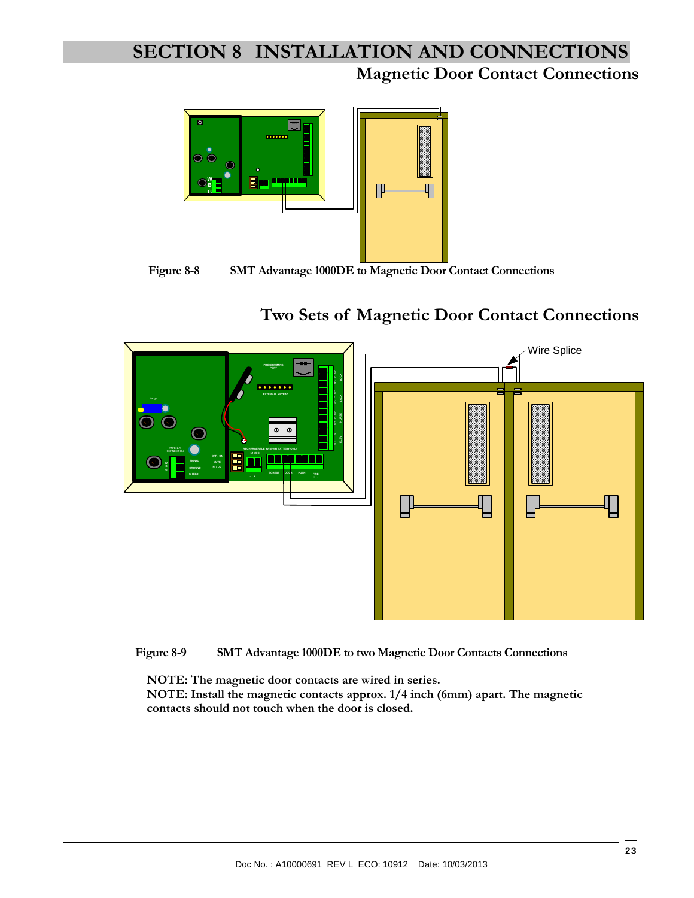# **Magnetic Door Contact Connections SECTION 8 INSTALLATION AND CONNECTIONS**

![](_page_22_Figure_1.jpeg)

**Figure 8-8 SMT Advantage 1000DE to Magnetic Door Contact Connections** 

# **Two Sets of Magnetic Door Contact Connections**

![](_page_22_Figure_4.jpeg)

**Figure 8-9 SMT Advantage 1000DE to two Magnetic Door Contacts Connections** 

**NOTE: The magnetic door contacts are wired in series.** 

**NOTE: Install the magnetic contacts approx. 1/4 inch (6mm) apart. The magnetic contacts should not touch when the door is closed.**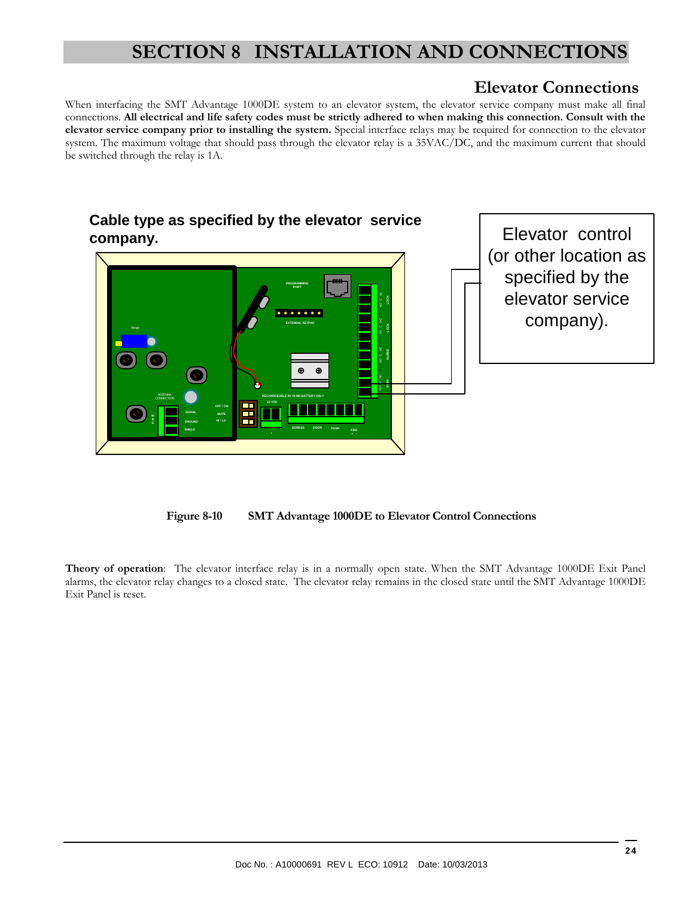# **SECTION 8 INSTALLATION AND CONNECTIONS**

# **Elevator Connections**

When interfacing the SMT Advantage 1000DE system to an elevator system, the elevator service company must make all final connections. **All electrical and life safety codes must be strictly adhered to when making this connection. Consult with the elevator service company prior to installing the system.** Special interface relays may be required for connection to the elevator system. The maximum voltage that should pass through the elevator relay is a 35VAC/DC, and the maximum current that should be switched through the relay is 1A.

![](_page_23_Figure_3.jpeg)

**Figure 8-10 SMT Advantage 1000DE to Elevator Control Connections** 

**Theory of operation**: The elevator interface relay is in a normally open state. When the SMT Advantage 1000DE Exit Panel alarms, the elevator relay changes to a closed state. The elevator relay remains in the closed state until the SMT Advantage 1000DE Exit Panel is reset.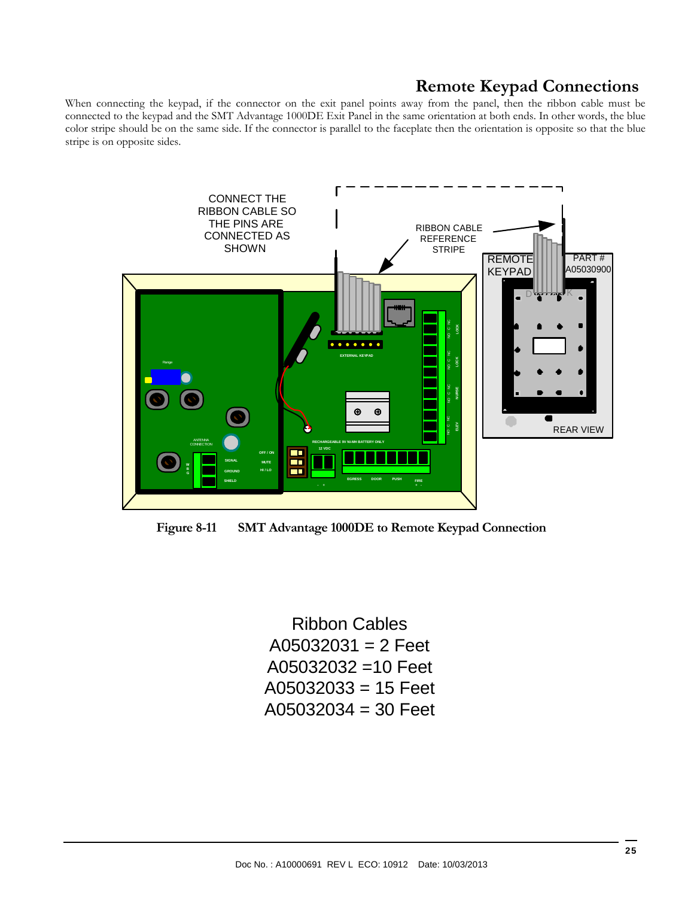# **Remote Keypad Connections**

When connecting the keypad, if the connector on the exit panel points away from the panel, then the ribbon cable must be connected to the keypad and the SMT Advantage 1000DE Exit Panel in the same orientation at both ends. In other words, the blue color stripe should be on the same side. If the connector is parallel to the faceplate then the orientation is opposite so that the blue stripe is on opposite sides.

![](_page_24_Figure_2.jpeg)

**Figure 8-11 SMT Advantage 1000DE to Remote Keypad Connection** 

Ribbon Cables  $A05032031 = 2$  Feet A05032032 =10 Feet  $A05032033 = 15$  Feet A05032034 = 30 Feet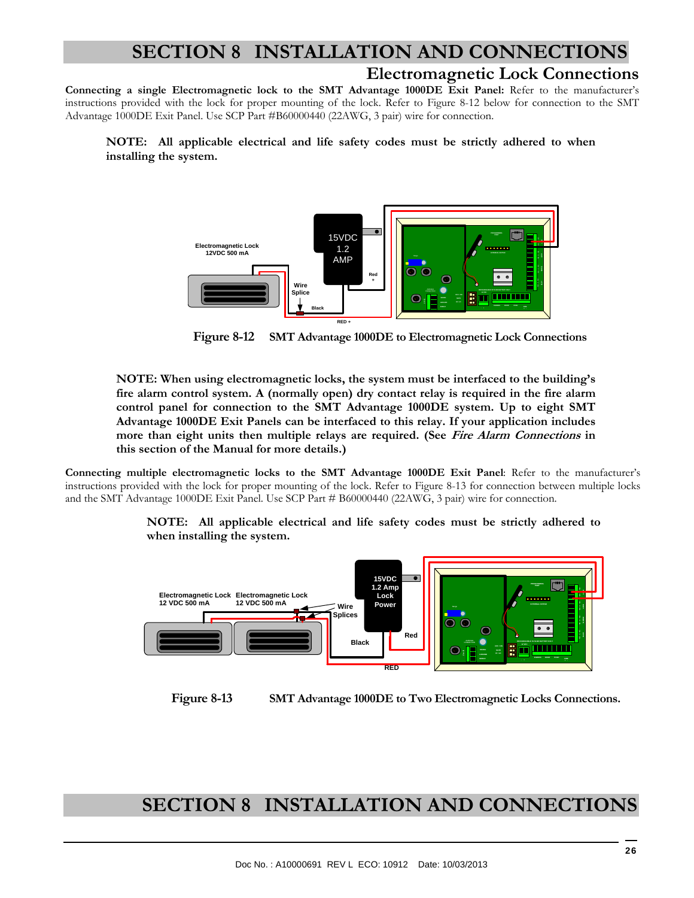# **SECTION 8 INSTALLATION AND CONNECTIONS**

### **Electromagnetic Lock Connections**

**Connecting a single Electromagnetic lock to the SMT Advantage 1000DE Exit Panel:** Refer to the manufacturer's instructions provided with the lock for proper mounting of the lock. Refer to Figure 8-12 below for connection to the SMT Advantage 1000DE Exit Panel. Use SCP Part #B60000440 (22AWG, 3 pair) wire for connection.

**NOTE: All applicable electrical and life safety codes must be strictly adhered to when installing the system.** 

![](_page_25_Figure_4.jpeg)

 **Figure 8-12 SMT Advantage 1000DE to Electromagnetic Lock Connections** 

**NOTE: When using electromagnetic locks, the system must be interfaced to the building's fire alarm control system. A (normally open) dry contact relay is required in the fire alarm control panel for connection to the SMT Advantage 1000DE system. Up to eight SMT Advantage 1000DE Exit Panels can be interfaced to this relay. If your application includes more than eight units then multiple relays are required. (See Fire Alarm Connections in this section of the Manual for more details.)** 

**Connecting multiple electromagnetic locks to the SMT Advantage 1000DE Exit Panel**: Refer to the manufacturer's instructions provided with the lock for proper mounting of the lock. Refer to Figure 8-13 for connection between multiple locks and the SMT Advantage 1000DE Exit Panel. Use SCP Part # B60000440 (22AWG, 3 pair) wire for connection.

> **NOTE: All applicable electrical and life safety codes must be strictly adhered to when installing the system.**

![](_page_25_Figure_9.jpeg)

 **Figure 8-13 SMT Advantage 1000DE to Two Electromagnetic Locks Connections.** 

# **SECTION 8 INSTALLATION AND CONNECTIONS**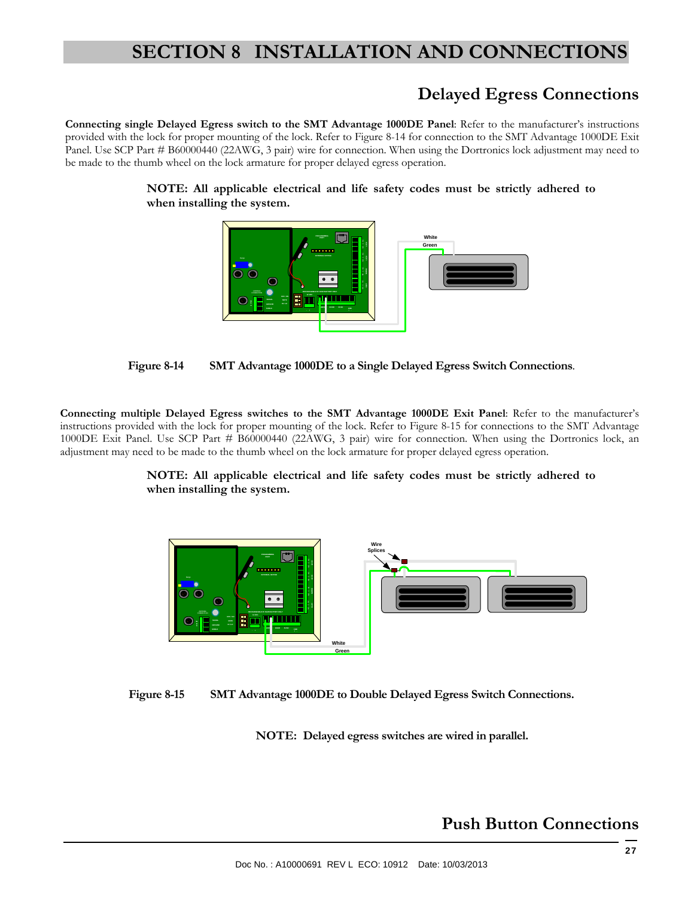# **SECTION 8 INSTALLATION AND CONNECTIONS**

# **Delayed Egress Connections**

**Connecting single Delayed Egress switch to the SMT Advantage 1000DE Panel**: Refer to the manufacturer's instructions provided with the lock for proper mounting of the lock. Refer to Figure 8-14 for connection to the SMT Advantage 1000DE Exit Panel. Use SCP Part # B60000440 (22AWG, 3 pair) wire for connection. When using the Dortronics lock adjustment may need to be made to the thumb wheel on the lock armature for proper delayed egress operation.

**NOTE: All applicable electrical and life safety codes must be strictly adhered to when installing the system.** 

![](_page_26_Figure_4.jpeg)

![](_page_26_Figure_5.jpeg)

**Connecting multiple Delayed Egress switches to the SMT Advantage 1000DE Exit Panel**: Refer to the manufacturer's instructions provided with the lock for proper mounting of the lock. Refer to Figure 8-15 for connections to the SMT Advantage 1000DE Exit Panel. Use SCP Part # B60000440 (22AWG, 3 pair) wire for connection. When using the Dortronics lock, an adjustment may need to be made to the thumb wheel on the lock armature for proper delayed egress operation.

#### **NOTE: All applicable electrical and life safety codes must be strictly adhered to when installing the system.**

![](_page_26_Figure_8.jpeg)

![](_page_26_Figure_9.jpeg)

**NOTE: Delayed egress switches are wired in parallel.** 

# **Push Button Connections**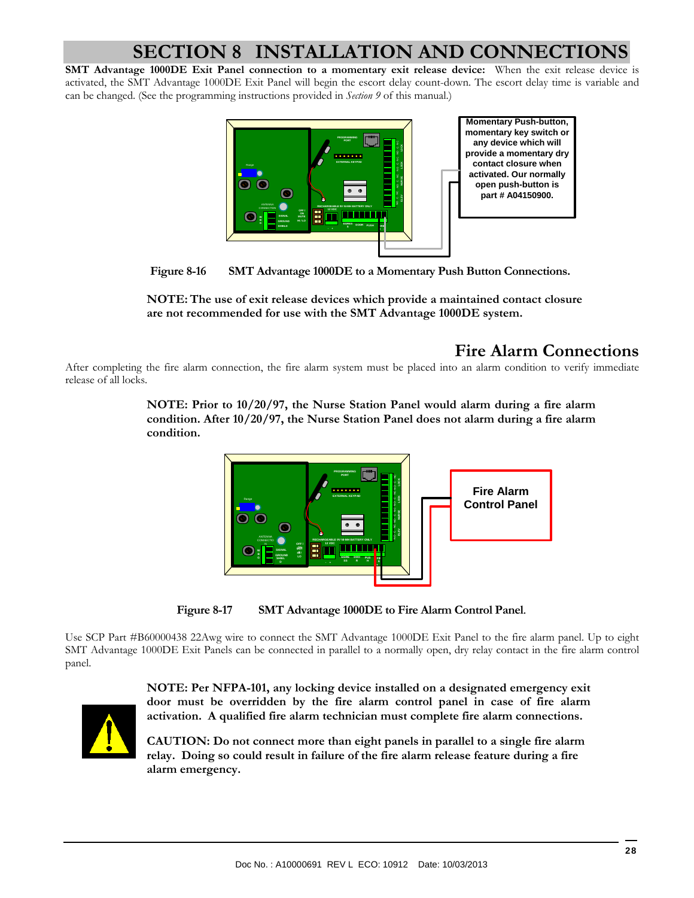# **SECTION 8 INSTALLATION AND CONNECTION**

**SMT Advantage 1000DE Exit Panel connection to a momentary exit release device:** When the exit release device is activated, the SMT Advantage 1000DE Exit Panel will begin the escort delay count-down. The escort delay time is variable and can be changed. (See the programming instructions provided in *Section 9* of this manual.)

![](_page_27_Figure_2.jpeg)

 **Figure 8-16 SMT Advantage 1000DE to a Momentary Push Button Connections.** 

**NOTE: The use of exit release devices which provide a maintained contact closure are not recommended for use with the SMT Advantage 1000DE system.** 

# **Fire Alarm Connections**

After completing the fire alarm connection, the fire alarm system must be placed into an alarm condition to verify immediate release of all locks.

> **NOTE: Prior to 10/20/97, the Nurse Station Panel would alarm during a fire alarm condition. After 10/20/97, the Nurse Station Panel does not alarm during a fire alarm condition.**

![](_page_27_Figure_8.jpeg)

**Figure 8-17 SMT Advantage 1000DE to Fire Alarm Control Panel**.

Use SCP Part #B60000438 22Awg wire to connect the SMT Advantage 1000DE Exit Panel to the fire alarm panel. Up to eight SMT Advantage 1000DE Exit Panels can be connected in parallel to a normally open, dry relay contact in the fire alarm control panel.

![](_page_27_Picture_11.jpeg)

**NOTE: Per NFPA-101, any locking device installed on a designated emergency exit door must be overridden by the fire alarm control panel in case of fire alarm activation. A qualified fire alarm technician must complete fire alarm connections.** 

**CAUTION: Do not connect more than eight panels in parallel to a single fire alarm relay. Doing so could result in failure of the fire alarm release feature during a fire alarm emergency.**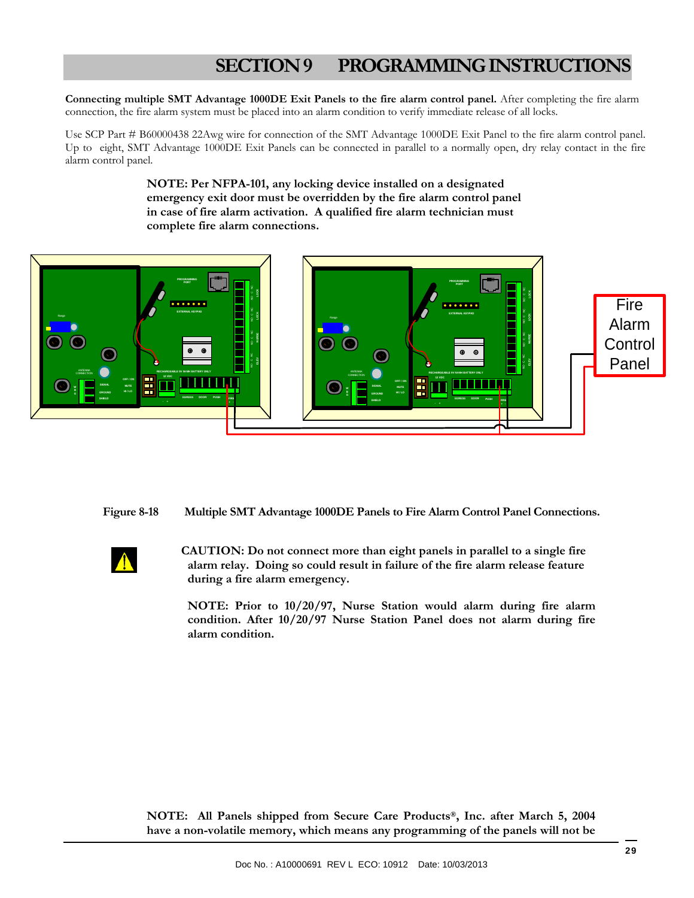**Connecting multiple SMT Advantage 1000DE Exit Panels to the fire alarm control panel.** After completing the fire alarm connection, the fire alarm system must be placed into an alarm condition to verify immediate release of all locks.

Use SCP Part # B60000438 22Awg wire for connection of the SMT Advantage 1000DE Exit Panel to the fire alarm control panel. Up to eight, SMT Advantage 1000DE Exit Panels can be connected in parallel to a normally open, dry relay contact in the fire alarm control panel.

> **NOTE: Per NFPA-101, any locking device installed on a designated emergency exit door must be overridden by the fire alarm control panel in case of fire alarm activation. A qualified fire alarm technician must complete fire alarm connections.**

![](_page_28_Picture_4.jpeg)

**Figure 8-18 Multiple SMT Advantage 1000DE Panels to Fire Alarm Control Panel Connections.**

 **CAUTION: Do not connect more than eight panels in parallel to a single fire alarm relay. Doing so could result in failure of the fire alarm release feature during a fire alarm emergency.** 

**NOTE: Prior to 10/20/97, Nurse Station would alarm during fire alarm condition. After 10/20/97 Nurse Station Panel does not alarm during fire alarm condition.** 

**NOTE: All Panels shipped from Secure Care Products®, Inc. after March 5, 2004 have a non-volatile memory, which means any programming of the panels will not be**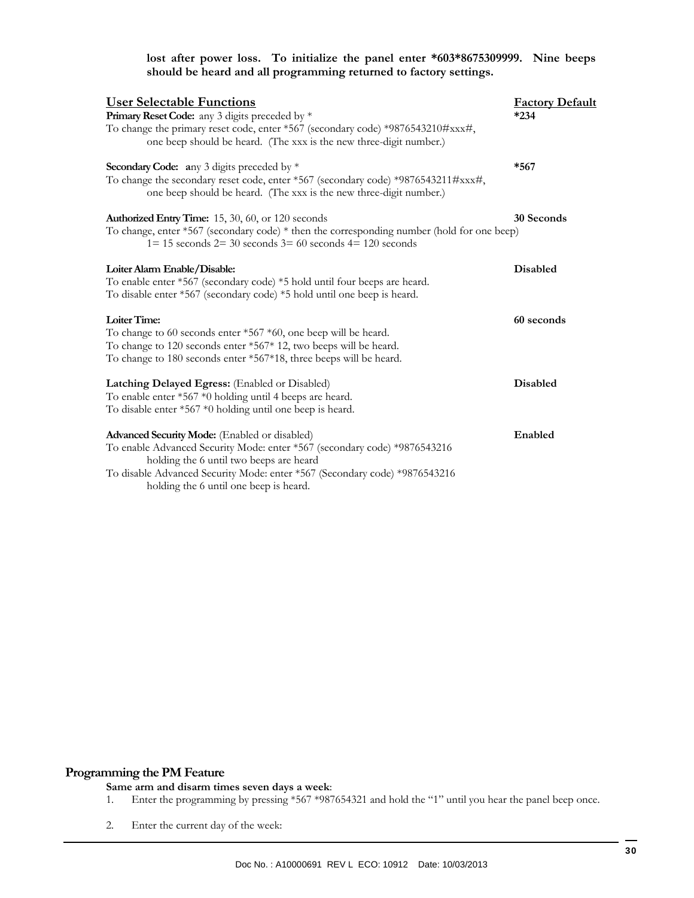#### **lost after power loss. To initialize the panel enter \*603\*8675309999. Nine beeps should be heard and all programming returned to factory settings.**

| <b>User Selectable Functions</b>                                                                                                                           | <b>Factory Default</b> |
|------------------------------------------------------------------------------------------------------------------------------------------------------------|------------------------|
| Primary Reset Code: any 3 digits preceded by *<br>To change the primary reset code, enter *567 (secondary code) *9876543210#xxx#,                          | $*234$                 |
| one beep should be heard. (The xxx is the new three-digit number.)                                                                                         |                        |
| Secondary Code: any 3 digits preceded by *                                                                                                                 | $*567$                 |
| To change the secondary reset code, enter *567 (secondary code) *9876543211#xxx#,<br>one beep should be heard. (The xxx is the new three-digit number.)    |                        |
| Authorized Entry Time: 15, 30, 60, or 120 seconds                                                                                                          | 30 Seconds             |
| To change, enter *567 (secondary code) * then the corresponding number (hold for one beep)<br>$1=15$ seconds $2=30$ seconds $3=60$ seconds $4=120$ seconds |                        |
| Loiter Alarm Enable/Disable:                                                                                                                               | Disabled               |
| To enable enter *567 (secondary code) *5 hold until four beeps are heard.<br>To disable enter *567 (secondary code) *5 hold until one beep is heard.       |                        |
| Loiter Time:                                                                                                                                               | 60 seconds             |
| To change to 60 seconds enter $*567 *60$ , one beep will be heard.                                                                                         |                        |
| To change to 120 seconds enter *567* 12, two beeps will be heard.<br>To change to 180 seconds enter *567*18, three beeps will be heard.                    |                        |
| Latching Delayed Egress: (Enabled or Disabled)                                                                                                             | <b>Disabled</b>        |
| To enable enter *567 *0 holding until 4 beeps are heard.                                                                                                   |                        |
| To disable enter *567 *0 holding until one beep is heard.                                                                                                  |                        |
| Advanced Security Mode: (Enabled or disabled)                                                                                                              | Enabled                |
| To enable Advanced Security Mode: enter *567 (secondary code) *9876543216                                                                                  |                        |
| holding the 6 until two beeps are heard                                                                                                                    |                        |
| To disable Advanced Security Mode: enter *567 (Secondary code) *9876543216<br>holding the 6 until one beep is heard.                                       |                        |
|                                                                                                                                                            |                        |

#### **Programming the PM Feature**

#### **Same arm and disarm times seven days a week**:

- 1. Enter the programming by pressing \*567 \*987654321 and hold the "1" until you hear the panel beep once.
- 2. Enter the current day of the week: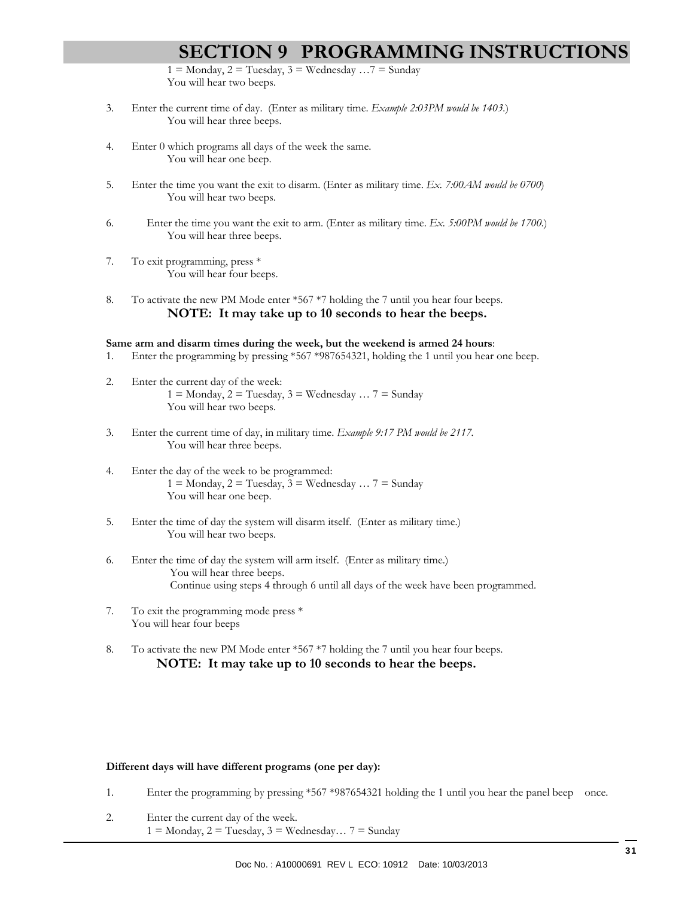$1 =$  Monday,  $2 =$  Tuesday,  $3 =$  Wednesday ...  $7 =$  Sunday You will hear two beeps.

- 3. Enter the current time of day. (Enter as military time. *Example 2:03PM would be 1403.*) You will hear three beeps.
- 4. Enter 0 which programs all days of the week the same. You will hear one beep.
- 5. Enter the time you want the exit to disarm. (Enter as military time. *Ex. 7:00AM would be 0700*) You will hear two beeps.
- 6. Enter the time you want the exit to arm. (Enter as military time. *Ex. 5:00PM would be 1700.*) You will hear three beeps.
- 7. To exit programming, press \* You will hear four beeps.
- 8. To activate the new PM Mode enter \*567 \*7 holding the 7 until you hear four beeps. **NOTE: It may take up to 10 seconds to hear the beeps.**

#### **Same arm and disarm times during the week, but the weekend is armed 24 hours**:

- 1. Enter the programming by pressing \*567 \*987654321, holding the 1 until you hear one beep.
- 2. Enter the current day of the week:  $1 =$  Monday,  $2 =$  Tuesday,  $3 =$  Wednesday ...  $7 =$  Sunday You will hear two beeps.
- 3. Enter the current time of day, in military time. *Example 9:17 PM would be 2117.* You will hear three beeps.
- 4. Enter the day of the week to be programmed:  $1 =$  Monday,  $2 =$  Tuesday,  $3 =$  Wednesday  $\ldots$  7 = Sunday You will hear one beep.
- 5. Enter the time of day the system will disarm itself. (Enter as military time.) You will hear two beeps.
- 6. Enter the time of day the system will arm itself. (Enter as military time.) You will hear three beeps. Continue using steps 4 through 6 until all days of the week have been programmed.
- 7. To exit the programming mode press \* You will hear four beeps
- 8. To activate the new PM Mode enter \*567 \*7 holding the 7 until you hear four beeps. **NOTE: It may take up to 10 seconds to hear the beeps.**

#### **Different days will have different programs (one per day):**

- 1. Enter the programming by pressing \*567 \*987654321 holding the 1 until you hear the panel beep once.
- 2. Enter the current day of the week.  $1 =$  Monday,  $2 =$  Tuesday,  $3 =$  Wednesday...  $7 =$  Sunday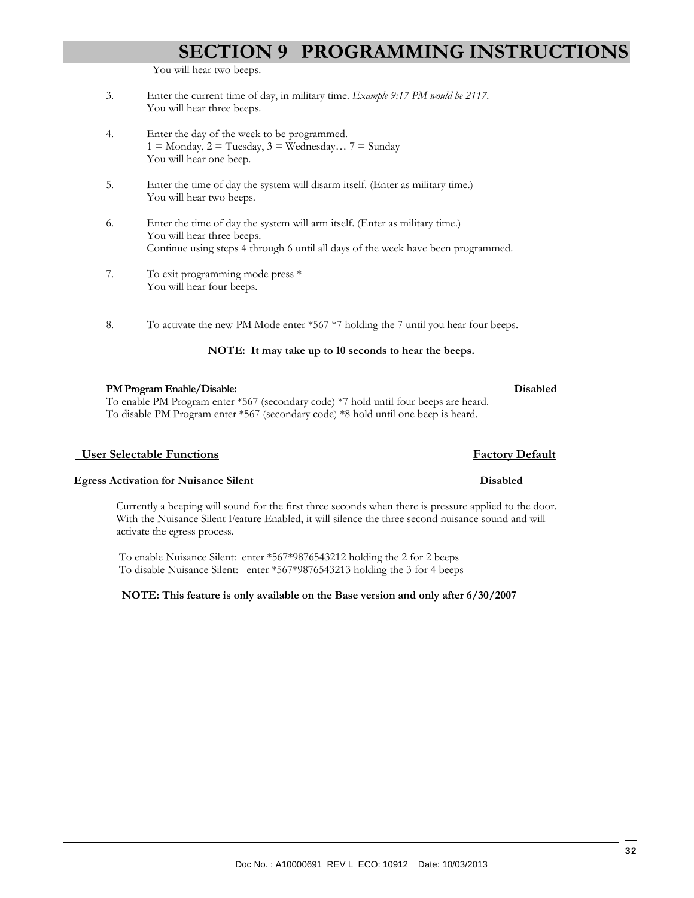You will hear two beeps.

- 3. Enter the current time of day, in military time. *Example 9:17 PM would be 2117.* You will hear three beeps.
- 4. Enter the day of the week to be programmed.  $1 =$  Monday,  $2 =$  Tuesday,  $3 =$  Wednesday...  $7 =$  Sunday You will hear one beep.
- 5. Enter the time of day the system will disarm itself. (Enter as military time.) You will hear two beeps.
- 6. Enter the time of day the system will arm itself. (Enter as military time.) You will hear three beeps. Continue using steps 4 through 6 until all days of the week have been programmed.
- 7. To exit programming mode press \* You will hear four beeps.
- 8. To activate the new PM Mode enter \*567 \*7 holding the 7 until you hear four beeps.

#### **NOTE: It may take up to 10 seconds to hear the beeps.**

#### **PM Program Enable/Disable: Disabled**

To enable PM Program enter \*567 (secondary code) \*7 hold until four beeps are heard. To disable PM Program enter \*567 (secondary code) \*8 hold until one beep is heard.

#### *<u>Eactory Default</u> Buchstands**Eactory Default*

#### **Egress Activation for Nuisance Silent Disabled**

Currently a beeping will sound for the first three seconds when there is pressure applied to the door. With the Nuisance Silent Feature Enabled, it will silence the three second nuisance sound and will activate the egress process.

 To enable Nuisance Silent: enter \*567\*9876543212 holding the 2 for 2 beeps To disable Nuisance Silent: enter \*567\*9876543213 holding the 3 for 4 beeps

#### **NOTE: This feature is only available on the Base version and only after 6/30/2007**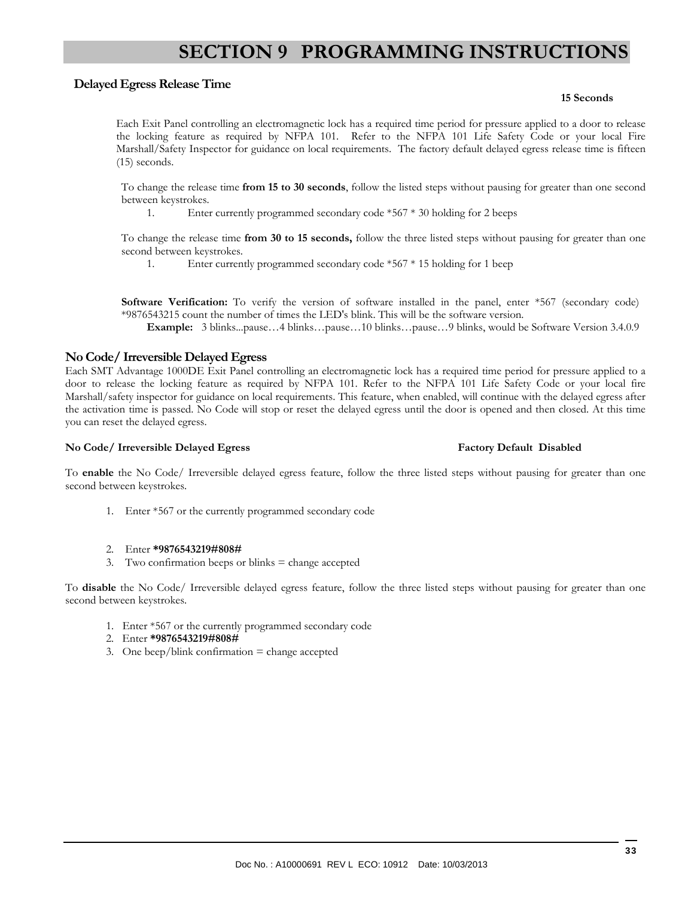#### **Delayed Egress Release Time**

#### **15 Seconds**

Each Exit Panel controlling an electromagnetic lock has a required time period for pressure applied to a door to release the locking feature as required by NFPA 101. Refer to the NFPA 101 Life Safety Code or your local Fire Marshall/Safety Inspector for guidance on local requirements. The factory default delayed egress release time is fifteen (15) seconds.

To change the release time **from 15 to 30 seconds**, follow the listed steps without pausing for greater than one second between keystrokes.

1. Enter currently programmed secondary code \*567 \* 30 holding for 2 beeps

To change the release time **from 30 to 15 seconds,** follow the three listed steps without pausing for greater than one second between keystrokes.

1. Enter currently programmed secondary code \*567 \* 15 holding for 1 beep

**Software Verification:** To verify the version of software installed in the panel, enter \*567 (secondary code) \*9876543215 count the number of times the LED's blink. This will be the software version.

**Example:** 3 blinks...pause…4 blinks…pause…10 blinks…pause…9 blinks, would be Software Version 3.4.0.9

#### **No Code/ Irreversible Delayed Egress**

Each SMT Advantage 1000DE Exit Panel controlling an electromagnetic lock has a required time period for pressure applied to a door to release the locking feature as required by NFPA 101. Refer to the NFPA 101 Life Safety Code or your local fire Marshall/safety inspector for guidance on local requirements. This feature, when enabled, will continue with the delayed egress after the activation time is passed. No Code will stop or reset the delayed egress until the door is opened and then closed. At this time you can reset the delayed egress.

#### **No Code/ Irreversible Delayed Egress Factory Default Disabled**

To **enable** the No Code/ Irreversible delayed egress feature, follow the three listed steps without pausing for greater than one second between keystrokes.

1. Enter \*567 or the currently programmed secondary code

#### 2. Enter **\*9876543219#808#**

3. Two confirmation beeps or blinks = change accepted

To **disable** the No Code/ Irreversible delayed egress feature, follow the three listed steps without pausing for greater than one second between keystrokes.

- 1. Enter \*567 or the currently programmed secondary code
- 2. Enter **\*9876543219#808#**
- 3. One beep/blink confirmation  $=$  change accepted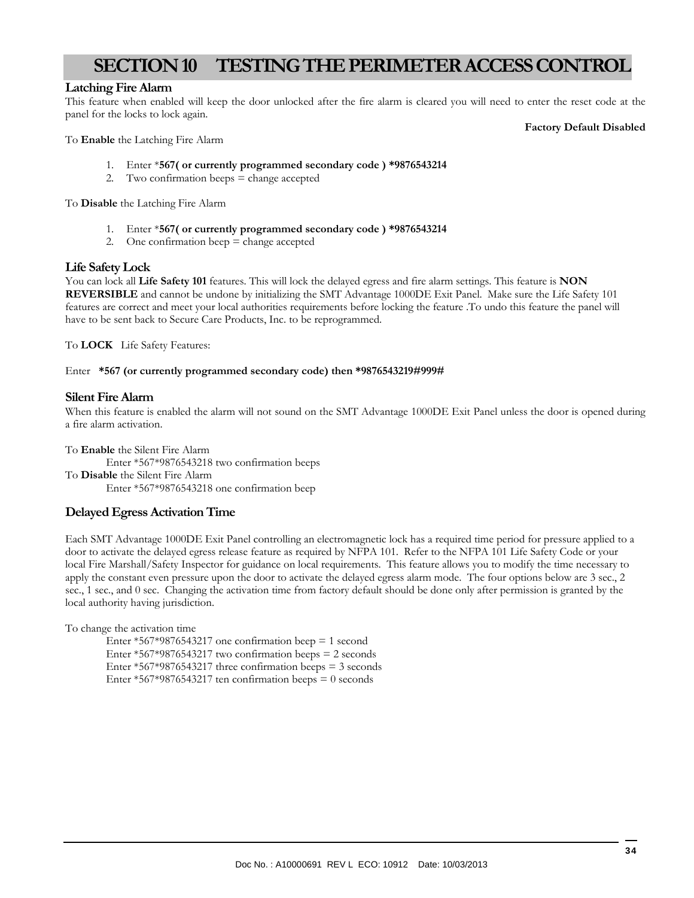# **SECTION 10 TESTING THE PERIMETER ACCESS CONTROL**

#### **Latching Fire Alarm**

This feature when enabled will keep the door unlocked after the fire alarm is cleared you will need to enter the reset code at the panel for the locks to lock again.

To **Enable** the Latching Fire Alarm

#### **Factory Default Disabled**

- 1. Enter \***567( or currently programmed secondary code ) \*9876543214**
- 2. Two confirmation beeps = change accepted

To **Disable** the Latching Fire Alarm

- 1. Enter \***567( or currently programmed secondary code ) \*9876543214**
- 2. One confirmation beep  $=$  change accepted

#### **Life Safety Lock**

You can lock all **Life Safety 101** features. This will lock the delayed egress and fire alarm settings. This feature is **NON REVERSIBLE** and cannot be undone by initializing the SMT Advantage 1000DE Exit Panel. Make sure the Life Safety 101 features are correct and meet your local authorities requirements before locking the feature .To undo this feature the panel will have to be sent back to Secure Care Products, Inc. to be reprogrammed.

To **LOCK** Life Safety Features:

#### Enter **\*567 (or currently programmed secondary code) then \*9876543219#999#**

#### **Silent Fire Alarm**

When this feature is enabled the alarm will not sound on the SMT Advantage 1000DE Exit Panel unless the door is opened during a fire alarm activation.

To **Enable** the Silent Fire Alarm Enter \*567\*9876543218 two confirmation beeps To **Disable** the Silent Fire Alarm Enter \*567\*9876543218 one confirmation beep

#### **Delayed Egress Activation Time**

Each SMT Advantage 1000DE Exit Panel controlling an electromagnetic lock has a required time period for pressure applied to a door to activate the delayed egress release feature as required by NFPA 101. Refer to the NFPA 101 Life Safety Code or your local Fire Marshall/Safety Inspector for guidance on local requirements. This feature allows you to modify the time necessary to apply the constant even pressure upon the door to activate the delayed egress alarm mode. The four options below are 3 sec., 2 sec., 1 sec., and 0 sec. Changing the activation time from factory default should be done only after permission is granted by the local authority having jurisdiction.

To change the activation time

Enter  $*567*9876543217$  one confirmation beep = 1 second Enter  $*567*9876543217$  two confirmation beeps = 2 seconds Enter  $*567*9876543217$  three confirmation beeps = 3 seconds Enter  $*567*9876543217$  ten confirmation beeps = 0 seconds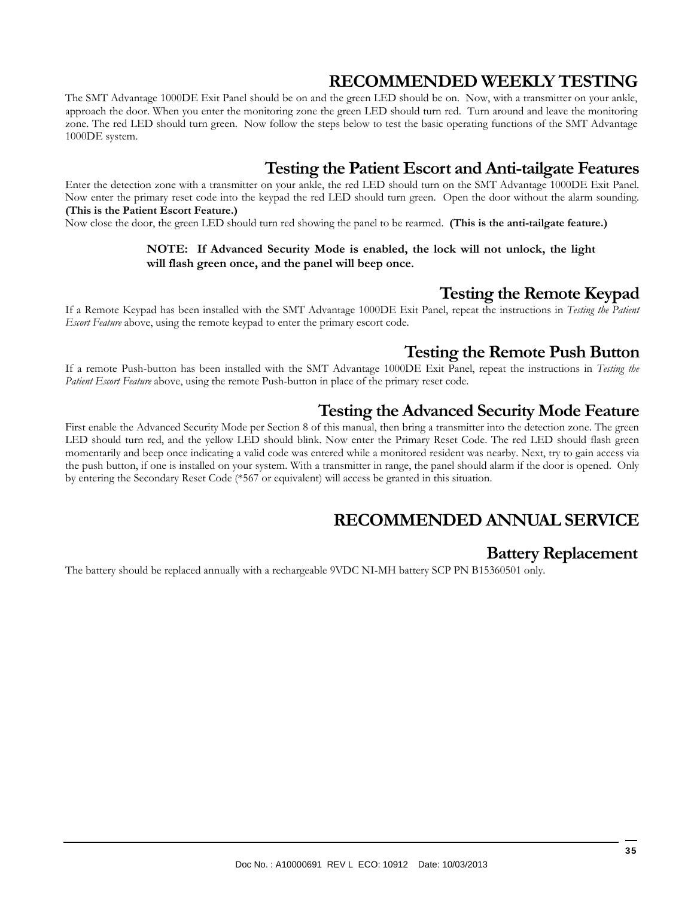# **RECOMMENDED WEEKLY TESTING**

The SMT Advantage 1000DE Exit Panel should be on and the green LED should be on. Now, with a transmitter on your ankle, approach the door. When you enter the monitoring zone the green LED should turn red. Turn around and leave the monitoring zone. The red LED should turn green. Now follow the steps below to test the basic operating functions of the SMT Advantage 1000DE system.

# **Testing the Patient Escort and Anti-tailgate Features**

Enter the detection zone with a transmitter on your ankle, the red LED should turn on the SMT Advantage 1000DE Exit Panel. Now enter the primary reset code into the keypad the red LED should turn green. Open the door without the alarm sounding. **(This is the Patient Escort Feature.)** 

Now close the door, the green LED should turn red showing the panel to be rearmed. **(This is the anti-tailgate feature.)** 

#### **NOTE: If Advanced Security Mode is enabled, the lock will not unlock, the light will flash green once, and the panel will beep once.**

# **Testing the Remote Keypad**

If a Remote Keypad has been installed with the SMT Advantage 1000DE Exit Panel, repeat the instructions in *Testing the Patient Escort Feature* above, using the remote keypad to enter the primary escort code.

# **Testing the Remote Push Button**

If a remote Push-button has been installed with the SMT Advantage 1000DE Exit Panel, repeat the instructions in *Testing the Patient Escort Feature* above, using the remote Push-button in place of the primary reset code.

# **Testing the Advanced Security Mode Feature**

First enable the Advanced Security Mode per Section 8 of this manual, then bring a transmitter into the detection zone. The green LED should turn red, and the yellow LED should blink. Now enter the Primary Reset Code. The red LED should flash green momentarily and beep once indicating a valid code was entered while a monitored resident was nearby. Next, try to gain access via the push button, if one is installed on your system. With a transmitter in range, the panel should alarm if the door is opened. Only by entering the Secondary Reset Code (\*567 or equivalent) will access be granted in this situation.

# **RECOMMENDED ANNUAL SERVICE**

# **Battery Replacement**

The battery should be replaced annually with a rechargeable 9VDC NI-MH battery SCP PN B15360501 only.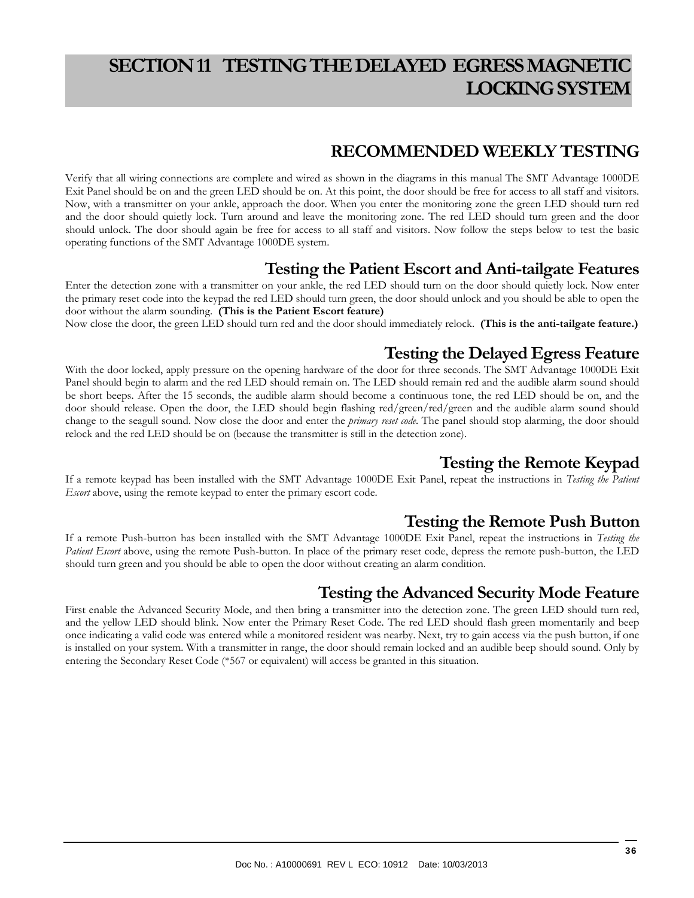# **SECTION 11 TESTING THE DELAYED EGRESS MAGNETIC LOCKING SYSTEM**

# **RECOMMENDED WEEKLY TESTING**

Verify that all wiring connections are complete and wired as shown in the diagrams in this manual The SMT Advantage 1000DE Exit Panel should be on and the green LED should be on. At this point, the door should be free for access to all staff and visitors. Now, with a transmitter on your ankle, approach the door. When you enter the monitoring zone the green LED should turn red and the door should quietly lock. Turn around and leave the monitoring zone. The red LED should turn green and the door should unlock. The door should again be free for access to all staff and visitors. Now follow the steps below to test the basic operating functions of the SMT Advantage 1000DE system.

# **Testing the Patient Escort and Anti-tailgate Features**

Enter the detection zone with a transmitter on your ankle, the red LED should turn on the door should quietly lock. Now enter the primary reset code into the keypad the red LED should turn green, the door should unlock and you should be able to open the door without the alarm sounding. **(This is the Patient Escort feature)** 

Now close the door, the green LED should turn red and the door should immediately relock. **(This is the anti-tailgate feature.)**

# **Testing the Delayed Egress Feature**

With the door locked, apply pressure on the opening hardware of the door for three seconds. The SMT Advantage 1000DE Exit Panel should begin to alarm and the red LED should remain on. The LED should remain red and the audible alarm sound should be short beeps. After the 15 seconds, the audible alarm should become a continuous tone, the red LED should be on, and the door should release. Open the door, the LED should begin flashing red/green/red/green and the audible alarm sound should change to the seagull sound. Now close the door and enter the *primary reset code*. The panel should stop alarming, the door should relock and the red LED should be on (because the transmitter is still in the detection zone).

# **Testing the Remote Keypad**

If a remote keypad has been installed with the SMT Advantage 1000DE Exit Panel, repeat the instructions in *Testing the Patient Escort* above, using the remote keypad to enter the primary escort code.

### **Testing the Remote Push Button**

If a remote Push-button has been installed with the SMT Advantage 1000DE Exit Panel, repeat the instructions in *Testing the Patient Escort* above, using the remote Push-button. In place of the primary reset code, depress the remote push-button, the LED should turn green and you should be able to open the door without creating an alarm condition.

# **Testing the Advanced Security Mode Feature**

First enable the Advanced Security Mode, and then bring a transmitter into the detection zone. The green LED should turn red, and the yellow LED should blink. Now enter the Primary Reset Code. The red LED should flash green momentarily and beep once indicating a valid code was entered while a monitored resident was nearby. Next, try to gain access via the push button, if one is installed on your system. With a transmitter in range, the door should remain locked and an audible beep should sound. Only by entering the Secondary Reset Code (\*567 or equivalent) will access be granted in this situation.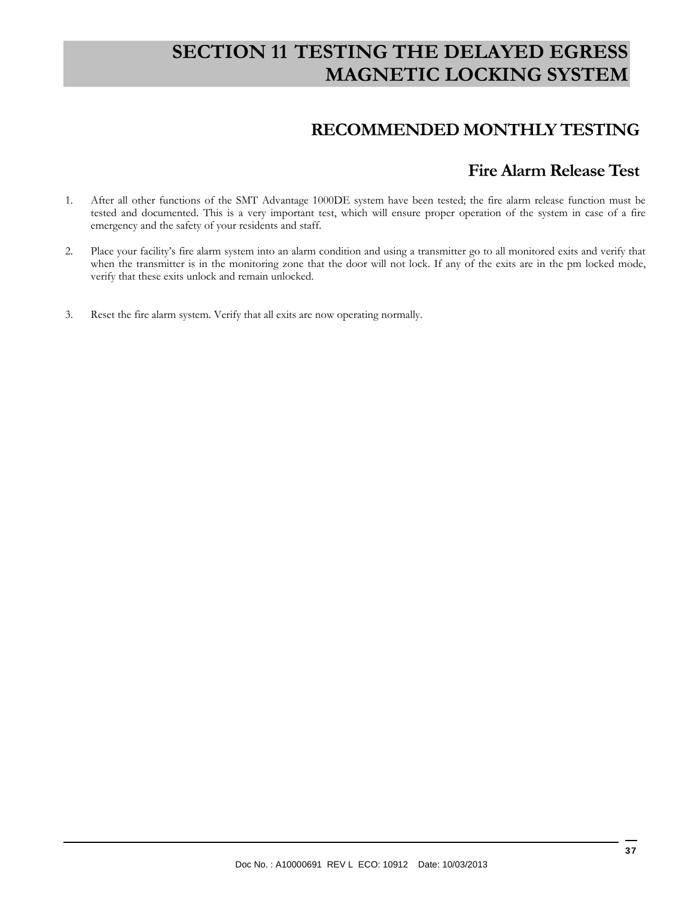# **SECTION 11 TESTING THE DELAYED EGRESS MAGNETIC LOCKING SYSTEM**

# **RECOMMENDED MONTHLY TESTING**

# **Fire Alarm Release Test**

- 1. After all other functions of the SMT Advantage 1000DE system have been tested; the fire alarm release function must be tested and documented. This is a very important test, which will ensure proper operation of the system in case of a fire emergency and the safety of your residents and staff.
- 2. Place your facility's fire alarm system into an alarm condition and using a transmitter go to all monitored exits and verify that when the transmitter is in the monitoring zone that the door will not lock. If any of the exits are in the pm locked mode, verify that these exits unlock and remain unlocked.
- 3. Reset the fire alarm system. Verify that all exits are now operating normally.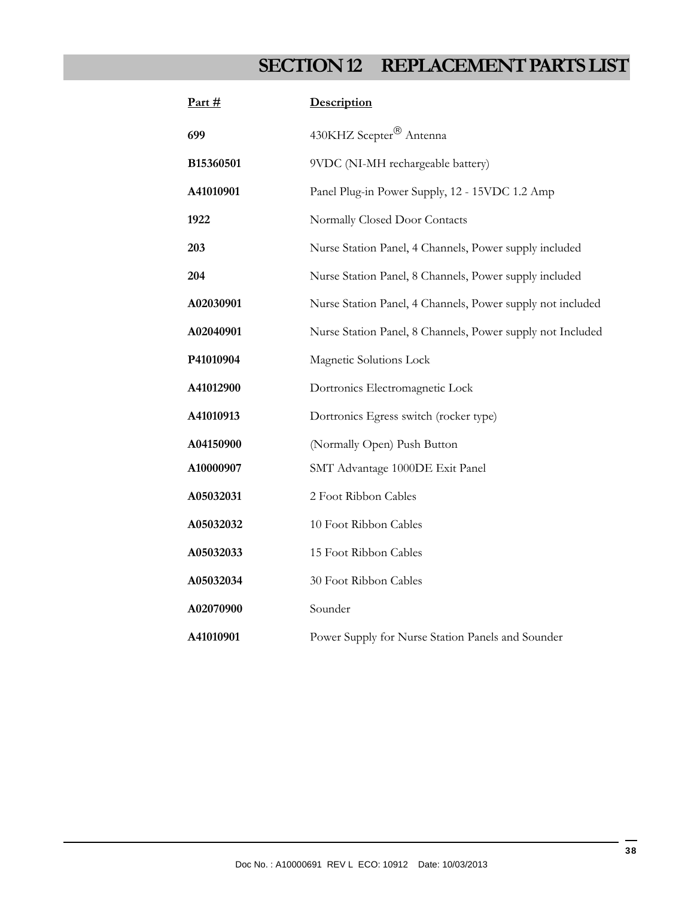# **SECTION 12 REPLACEMENT PARTS LIST**

| Part $#$  | Description                                                |
|-----------|------------------------------------------------------------|
| 699       | 430KHZ Scepter <sup>®</sup> Antenna                        |
| B15360501 | 9VDC (NI-MH rechargeable battery)                          |
| A41010901 | Panel Plug-in Power Supply, 12 - 15VDC 1.2 Amp             |
| 1922      | Normally Closed Door Contacts                              |
| 203       | Nurse Station Panel, 4 Channels, Power supply included     |
| 204       | Nurse Station Panel, 8 Channels, Power supply included     |
| A02030901 | Nurse Station Panel, 4 Channels, Power supply not included |
| A02040901 | Nurse Station Panel, 8 Channels, Power supply not Included |
| P41010904 | Magnetic Solutions Lock                                    |
| A41012900 | Dortronics Electromagnetic Lock                            |
| A41010913 | Dortronics Egress switch (rocker type)                     |
| A04150900 | (Normally Open) Push Button                                |
| A10000907 | SMT Advantage 1000DE Exit Panel                            |
| A05032031 | 2 Foot Ribbon Cables                                       |
| A05032032 | 10 Foot Ribbon Cables                                      |
| A05032033 | 15 Foot Ribbon Cables                                      |
| A05032034 | 30 Foot Ribbon Cables                                      |
| A02070900 | Sounder                                                    |
| A41010901 | Power Supply for Nurse Station Panels and Sounder          |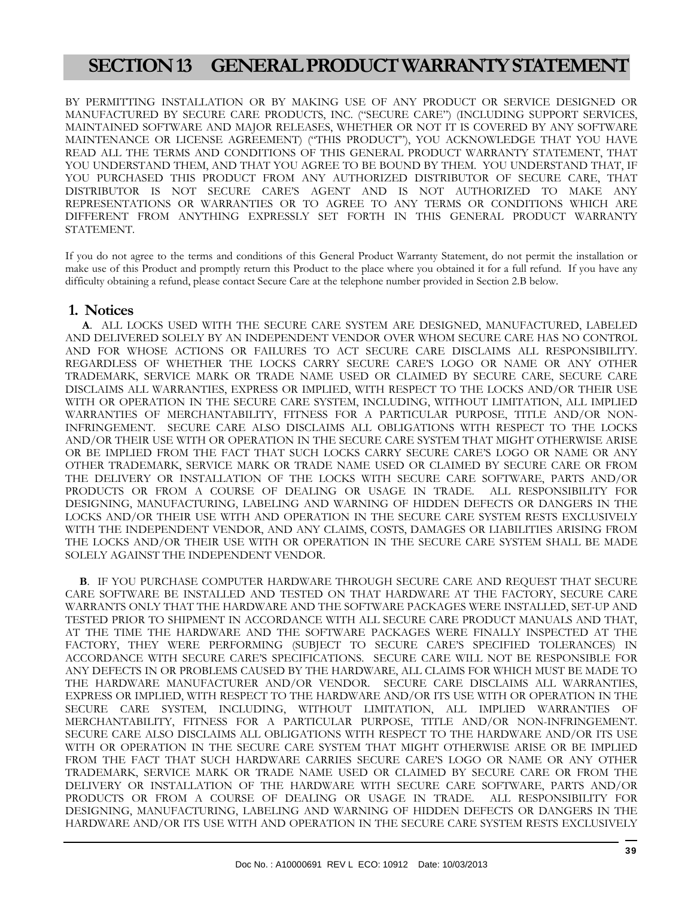# **SECTION 13 GENERAL PRODUCT WARRANTY STATEMENT**

BY PERMITTING INSTALLATION OR BY MAKING USE OF ANY PRODUCT OR SERVICE DESIGNED OR MANUFACTURED BY SECURE CARE PRODUCTS, INC. ("SECURE CARE") (INCLUDING SUPPORT SERVICES, MAINTAINED SOFTWARE AND MAJOR RELEASES, WHETHER OR NOT IT IS COVERED BY ANY SOFTWARE MAINTENANCE OR LICENSE AGREEMENT) ("THIS PRODUCT"), YOU ACKNOWLEDGE THAT YOU HAVE READ ALL THE TERMS AND CONDITIONS OF THIS GENERAL PRODUCT WARRANTY STATEMENT, THAT YOU UNDERSTAND THEM, AND THAT YOU AGREE TO BE BOUND BY THEM. YOU UNDERSTAND THAT, IF YOU PURCHASED THIS PRODUCT FROM ANY AUTHORIZED DISTRIBUTOR OF SECURE CARE, THAT DISTRIBUTOR IS NOT SECURE CARE'S AGENT AND IS NOT AUTHORIZED TO MAKE ANY REPRESENTATIONS OR WARRANTIES OR TO AGREE TO ANY TERMS OR CONDITIONS WHICH ARE DIFFERENT FROM ANYTHING EXPRESSLY SET FORTH IN THIS GENERAL PRODUCT WARRANTY STATEMENT.

If you do not agree to the terms and conditions of this General Product Warranty Statement, do not permit the installation or make use of this Product and promptly return this Product to the place where you obtained it for a full refund. If you have any difficulty obtaining a refund, please contact Secure Care at the telephone number provided in Section 2.B below.

#### **1. Notices**

 **A**. ALL LOCKS USED WITH THE SECURE CARE SYSTEM ARE DESIGNED, MANUFACTURED, LABELED AND DELIVERED SOLELY BY AN INDEPENDENT VENDOR OVER WHOM SECURE CARE HAS NO CONTROL AND FOR WHOSE ACTIONS OR FAILURES TO ACT SECURE CARE DISCLAIMS ALL RESPONSIBILITY. REGARDLESS OF WHETHER THE LOCKS CARRY SECURE CARE'S LOGO OR NAME OR ANY OTHER TRADEMARK, SERVICE MARK OR TRADE NAME USED OR CLAIMED BY SECURE CARE, SECURE CARE DISCLAIMS ALL WARRANTIES, EXPRESS OR IMPLIED, WITH RESPECT TO THE LOCKS AND/OR THEIR USE WITH OR OPERATION IN THE SECURE CARE SYSTEM, INCLUDING, WITHOUT LIMITATION, ALL IMPLIED WARRANTIES OF MERCHANTABILITY, FITNESS FOR A PARTICULAR PURPOSE, TITLE AND/OR NON-INFRINGEMENT. SECURE CARE ALSO DISCLAIMS ALL OBLIGATIONS WITH RESPECT TO THE LOCKS AND/OR THEIR USE WITH OR OPERATION IN THE SECURE CARE SYSTEM THAT MIGHT OTHERWISE ARISE OR BE IMPLIED FROM THE FACT THAT SUCH LOCKS CARRY SECURE CARE'S LOGO OR NAME OR ANY OTHER TRADEMARK, SERVICE MARK OR TRADE NAME USED OR CLAIMED BY SECURE CARE OR FROM THE DELIVERY OR INSTALLATION OF THE LOCKS WITH SECURE CARE SOFTWARE, PARTS AND/OR PRODUCTS OR FROM A COURSE OF DEALING OR USAGE IN TRADE. ALL RESPONSIBILITY FOR DESIGNING, MANUFACTURING, LABELING AND WARNING OF HIDDEN DEFECTS OR DANGERS IN THE LOCKS AND/OR THEIR USE WITH AND OPERATION IN THE SECURE CARE SYSTEM RESTS EXCLUSIVELY WITH THE INDEPENDENT VENDOR, AND ANY CLAIMS, COSTS, DAMAGES OR LIABILITIES ARISING FROM THE LOCKS AND/OR THEIR USE WITH OR OPERATION IN THE SECURE CARE SYSTEM SHALL BE MADE SOLELY AGAINST THE INDEPENDENT VENDOR.

 **B**. IF YOU PURCHASE COMPUTER HARDWARE THROUGH SECURE CARE AND REQUEST THAT SECURE CARE SOFTWARE BE INSTALLED AND TESTED ON THAT HARDWARE AT THE FACTORY, SECURE CARE WARRANTS ONLY THAT THE HARDWARE AND THE SOFTWARE PACKAGES WERE INSTALLED, SET-UP AND TESTED PRIOR TO SHIPMENT IN ACCORDANCE WITH ALL SECURE CARE PRODUCT MANUALS AND THAT, AT THE TIME THE HARDWARE AND THE SOFTWARE PACKAGES WERE FINALLY INSPECTED AT THE FACTORY, THEY WERE PERFORMING (SUBJECT TO SECURE CARE'S SPECIFIED TOLERANCES) IN ACCORDANCE WITH SECURE CARE'S SPECIFICATIONS. SECURE CARE WILL NOT BE RESPONSIBLE FOR ANY DEFECTS IN OR PROBLEMS CAUSED BY THE HARDWARE, ALL CLAIMS FOR WHICH MUST BE MADE TO THE HARDWARE MANUFACTURER AND/OR VENDOR. SECURE CARE DISCLAIMS ALL WARRANTIES, EXPRESS OR IMPLIED, WITH RESPECT TO THE HARDWARE AND/OR ITS USE WITH OR OPERATION IN THE SECURE CARE SYSTEM, INCLUDING, WITHOUT LIMITATION, ALL IMPLIED WARRANTIES OF MERCHANTABILITY, FITNESS FOR A PARTICULAR PURPOSE, TITLE AND/OR NON-INFRINGEMENT. SECURE CARE ALSO DISCLAIMS ALL OBLIGATIONS WITH RESPECT TO THE HARDWARE AND/OR ITS USE WITH OR OPERATION IN THE SECURE CARE SYSTEM THAT MIGHT OTHERWISE ARISE OR BE IMPLIED FROM THE FACT THAT SUCH HARDWARE CARRIES SECURE CARE'S LOGO OR NAME OR ANY OTHER TRADEMARK, SERVICE MARK OR TRADE NAME USED OR CLAIMED BY SECURE CARE OR FROM THE DELIVERY OR INSTALLATION OF THE HARDWARE WITH SECURE CARE SOFTWARE, PARTS AND/OR PRODUCTS OR FROM A COURSE OF DEALING OR USAGE IN TRADE. ALL RESPONSIBILITY FOR PRODUCTS OR FROM A COURSE OF DEALING OR USAGE IN TRADE. DESIGNING, MANUFACTURING, LABELING AND WARNING OF HIDDEN DEFECTS OR DANGERS IN THE HARDWARE AND/OR ITS USE WITH AND OPERATION IN THE SECURE CARE SYSTEM RESTS EXCLUSIVELY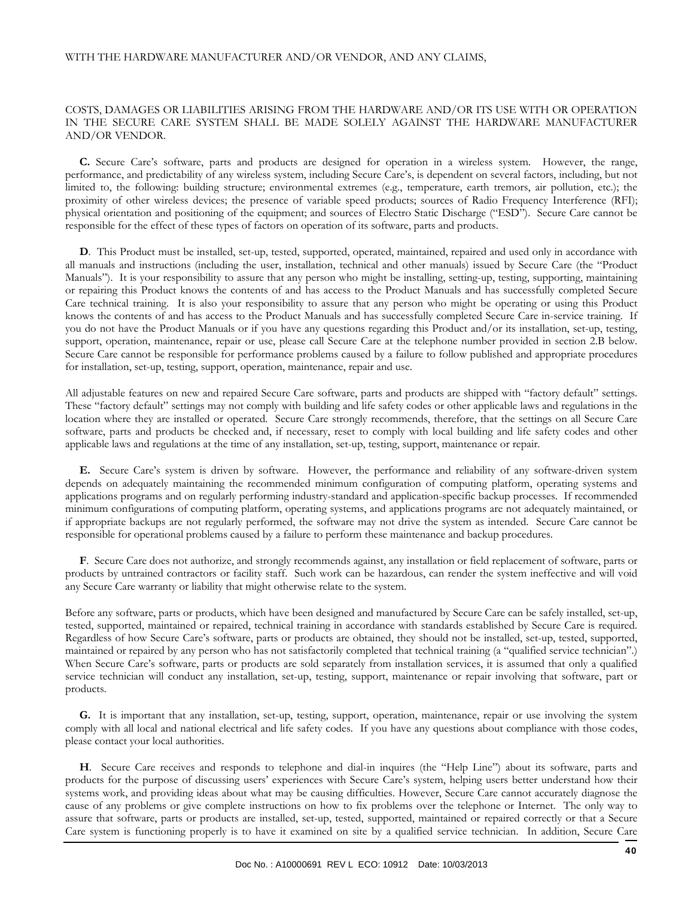#### WITH THE HARDWARE MANUFACTURER AND/OR VENDOR, AND ANY CLAIMS,

#### COSTS, DAMAGES OR LIABILITIES ARISING FROM THE HARDWARE AND/OR ITS USE WITH OR OPERATION IN THE SECURE CARE SYSTEM SHALL BE MADE SOLELY AGAINST THE HARDWARE MANUFACTURER AND/OR VENDOR.

 **C.** Secure Care's software, parts and products are designed for operation in a wireless system. However, the range, performance, and predictability of any wireless system, including Secure Care's, is dependent on several factors, including, but not limited to, the following: building structure; environmental extremes (e.g., temperature, earth tremors, air pollution, etc.); the proximity of other wireless devices; the presence of variable speed products; sources of Radio Frequency Interference (RFI); physical orientation and positioning of the equipment; and sources of Electro Static Discharge ("ESD"). Secure Care cannot be responsible for the effect of these types of factors on operation of its software, parts and products.

 **D**. This Product must be installed, set-up, tested, supported, operated, maintained, repaired and used only in accordance with all manuals and instructions (including the user, installation, technical and other manuals) issued by Secure Care (the "Product Manuals"). It is your responsibility to assure that any person who might be installing, setting-up, testing, supporting, maintaining or repairing this Product knows the contents of and has access to the Product Manuals and has successfully completed Secure Care technical training. It is also your responsibility to assure that any person who might be operating or using this Product knows the contents of and has access to the Product Manuals and has successfully completed Secure Care in-service training. If you do not have the Product Manuals or if you have any questions regarding this Product and/or its installation, set-up, testing, support, operation, maintenance, repair or use, please call Secure Care at the telephone number provided in section 2.B below. Secure Care cannot be responsible for performance problems caused by a failure to follow published and appropriate procedures for installation, set-up, testing, support, operation, maintenance, repair and use.

All adjustable features on new and repaired Secure Care software, parts and products are shipped with "factory default" settings. These "factory default" settings may not comply with building and life safety codes or other applicable laws and regulations in the location where they are installed or operated. Secure Care strongly recommends, therefore, that the settings on all Secure Care software, parts and products be checked and, if necessary, reset to comply with local building and life safety codes and other applicable laws and regulations at the time of any installation, set-up, testing, support, maintenance or repair.

 **E.** Secure Care's system is driven by software. However, the performance and reliability of any software-driven system depends on adequately maintaining the recommended minimum configuration of computing platform, operating systems and applications programs and on regularly performing industry-standard and application-specific backup processes. If recommended minimum configurations of computing platform, operating systems, and applications programs are not adequately maintained, or if appropriate backups are not regularly performed, the software may not drive the system as intended. Secure Care cannot be responsible for operational problems caused by a failure to perform these maintenance and backup procedures.

 **F**. Secure Care does not authorize, and strongly recommends against, any installation or field replacement of software, parts or products by untrained contractors or facility staff. Such work can be hazardous, can render the system ineffective and will void any Secure Care warranty or liability that might otherwise relate to the system.

Before any software, parts or products, which have been designed and manufactured by Secure Care can be safely installed, set-up, tested, supported, maintained or repaired, technical training in accordance with standards established by Secure Care is required. Regardless of how Secure Care's software, parts or products are obtained, they should not be installed, set-up, tested, supported, maintained or repaired by any person who has not satisfactorily completed that technical training (a "qualified service technician".) When Secure Care's software, parts or products are sold separately from installation services, it is assumed that only a qualified service technician will conduct any installation, set-up, testing, support, maintenance or repair involving that software, part or products.

 **G.** It is important that any installation, set-up, testing, support, operation, maintenance, repair or use involving the system comply with all local and national electrical and life safety codes. If you have any questions about compliance with those codes, please contact your local authorities.

 **H**. Secure Care receives and responds to telephone and dial-in inquires (the "Help Line") about its software, parts and products for the purpose of discussing users' experiences with Secure Care's system, helping users better understand how their systems work, and providing ideas about what may be causing difficulties. However, Secure Care cannot accurately diagnose the cause of any problems or give complete instructions on how to fix problems over the telephone or Internet. The only way to assure that software, parts or products are installed, set-up, tested, supported, maintained or repaired correctly or that a Secure Care system is functioning properly is to have it examined on site by a qualified service technician. In addition, Secure Care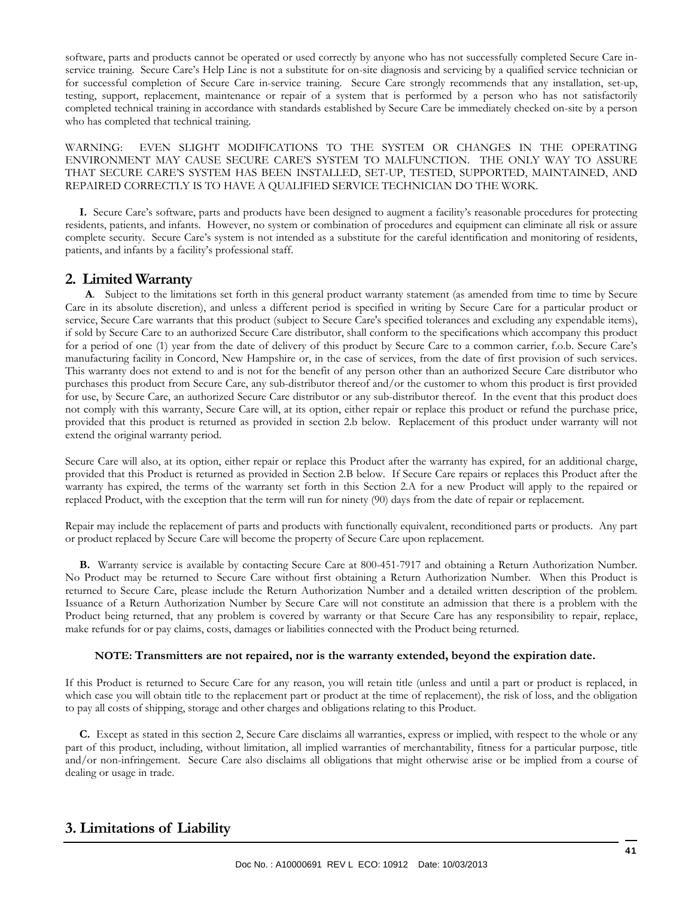software, parts and products cannot be operated or used correctly by anyone who has not successfully completed Secure Care inservice training. Secure Care's Help Line is not a substitute for on-site diagnosis and servicing by a qualified service technician or for successful completion of Secure Care in-service training. Secure Care strongly recommends that any installation, set-up, testing, support, replacement, maintenance or repair of a system that is performed by a person who has not satisfactorily completed technical training in accordance with standards established by Secure Care be immediately checked on-site by a person who has completed that technical training.

WARNING: EVEN SLIGHT MODIFICATIONS TO THE SYSTEM OR CHANGES IN THE OPERATING ENVIRONMENT MAY CAUSE SECURE CARE'S SYSTEM TO MALFUNCTION. THE ONLY WAY TO ASSURE THAT SECURE CARE'S SYSTEM HAS BEEN INSTALLED, SET-UP, TESTED, SUPPORTED, MAINTAINED, AND REPAIRED CORRECTLY IS TO HAVE A QUALIFIED SERVICE TECHNICIAN DO THE WORK.

 **I.** Secure Care's software, parts and products have been designed to augment a facility's reasonable procedures for protecting residents, patients, and infants. However, no system or combination of procedures and equipment can eliminate all risk or assure complete security. Secure Care's system is not intended as a substitute for the careful identification and monitoring of residents, patients, and infants by a facility's professional staff.

#### **2. Limited Warranty**

 **A**. Subject to the limitations set forth in this general product warranty statement (as amended from time to time by Secure Care in its absolute discretion), and unless a different period is specified in writing by Secure Care for a particular product or service, Secure Care warrants that this product (subject to Secure Care's specified tolerances and excluding any expendable items), if sold by Secure Care to an authorized Secure Care distributor, shall conform to the specifications which accompany this product for a period of one (1) year from the date of delivery of this product by Secure Care to a common carrier, f.o.b. Secure Care's manufacturing facility in Concord, New Hampshire or, in the case of services, from the date of first provision of such services. This warranty does not extend to and is not for the benefit of any person other than an authorized Secure Care distributor who purchases this product from Secure Care, any sub-distributor thereof and/or the customer to whom this product is first provided for use, by Secure Care, an authorized Secure Care distributor or any sub-distributor thereof. In the event that this product does not comply with this warranty, Secure Care will, at its option, either repair or replace this product or refund the purchase price, provided that this product is returned as provided in section 2.b below. Replacement of this product under warranty will not extend the original warranty period.

Secure Care will also, at its option, either repair or replace this Product after the warranty has expired, for an additional charge, provided that this Product is returned as provided in Section 2.B below. If Secure Care repairs or replaces this Product after the warranty has expired, the terms of the warranty set forth in this Section 2.A for a new Product will apply to the repaired or replaced Product, with the exception that the term will run for ninety (90) days from the date of repair or replacement.

Repair may include the replacement of parts and products with functionally equivalent, reconditioned parts or products. Any part or product replaced by Secure Care will become the property of Secure Care upon replacement.

 **B.** Warranty service is available by contacting Secure Care at 800-451-7917 and obtaining a Return Authorization Number. No Product may be returned to Secure Care without first obtaining a Return Authorization Number. When this Product is returned to Secure Care, please include the Return Authorization Number and a detailed written description of the problem. Issuance of a Return Authorization Number by Secure Care will not constitute an admission that there is a problem with the Product being returned, that any problem is covered by warranty or that Secure Care has any responsibility to repair, replace, make refunds for or pay claims, costs, damages or liabilities connected with the Product being returned.

#### **NOTE: Transmitters are not repaired, nor is the warranty extended, beyond the expiration date.**

If this Product is returned to Secure Care for any reason, you will retain title (unless and until a part or product is replaced, in which case you will obtain title to the replacement part or product at the time of replacement), the risk of loss, and the obligation to pay all costs of shipping, storage and other charges and obligations relating to this Product.

 **C.** Except as stated in this section 2, Secure Care disclaims all warranties, express or implied, with respect to the whole or any part of this product, including, without limitation, all implied warranties of merchantability, fitness for a particular purpose, title and/or non-infringement. Secure Care also disclaims all obligations that might otherwise arise or be implied from a course of dealing or usage in trade.

#### **3. Limitations of Liability**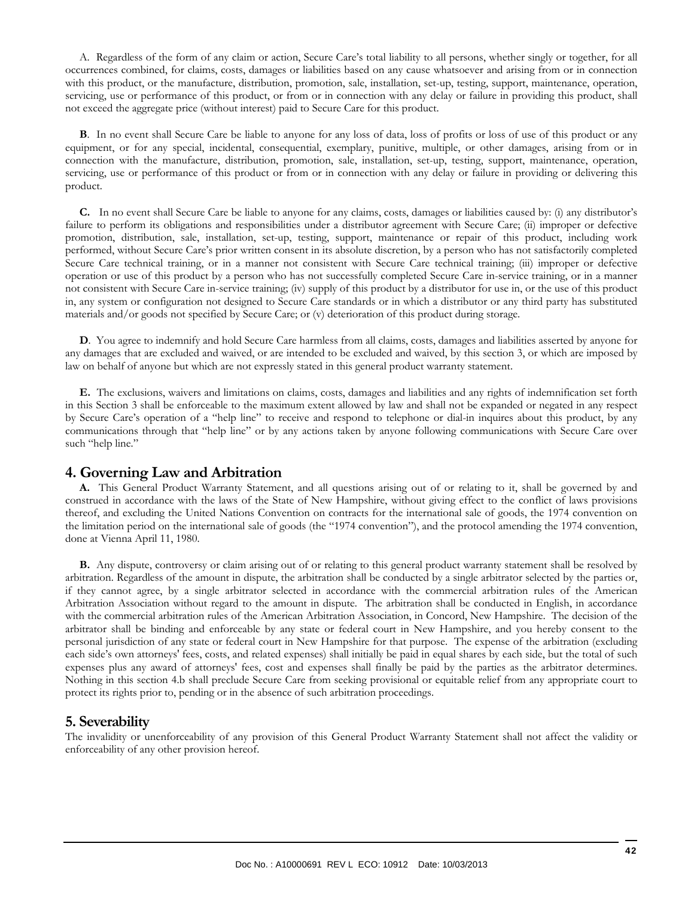A. Regardless of the form of any claim or action, Secure Care's total liability to all persons, whether singly or together, for all occurrences combined, for claims, costs, damages or liabilities based on any cause whatsoever and arising from or in connection with this product, or the manufacture, distribution, promotion, sale, installation, set-up, testing, support, maintenance, operation, servicing, use or performance of this product, or from or in connection with any delay or failure in providing this product, shall not exceed the aggregate price (without interest) paid to Secure Care for this product.

**B.** In no event shall Secure Care be liable to anyone for any loss of data, loss of profits or loss of use of this product or any equipment, or for any special, incidental, consequential, exemplary, punitive, multiple, or other damages, arising from or in connection with the manufacture, distribution, promotion, sale, installation, set-up, testing, support, maintenance, operation, servicing, use or performance of this product or from or in connection with any delay or failure in providing or delivering this product.

 **C.** In no event shall Secure Care be liable to anyone for any claims, costs, damages or liabilities caused by: (i) any distributor's failure to perform its obligations and responsibilities under a distributor agreement with Secure Care; (ii) improper or defective promotion, distribution, sale, installation, set-up, testing, support, maintenance or repair of this product, including work performed, without Secure Care's prior written consent in its absolute discretion, by a person who has not satisfactorily completed Secure Care technical training, or in a manner not consistent with Secure Care technical training; (iii) improper or defective operation or use of this product by a person who has not successfully completed Secure Care in-service training, or in a manner not consistent with Secure Care in-service training; (iv) supply of this product by a distributor for use in, or the use of this product in, any system or configuration not designed to Secure Care standards or in which a distributor or any third party has substituted materials and/or goods not specified by Secure Care; or (v) deterioration of this product during storage.

 **D**. You agree to indemnify and hold Secure Care harmless from all claims, costs, damages and liabilities asserted by anyone for any damages that are excluded and waived, or are intended to be excluded and waived, by this section 3, or which are imposed by law on behalf of anyone but which are not expressly stated in this general product warranty statement.

 **E.** The exclusions, waivers and limitations on claims, costs, damages and liabilities and any rights of indemnification set forth in this Section 3 shall be enforceable to the maximum extent allowed by law and shall not be expanded or negated in any respect by Secure Care's operation of a "help line" to receive and respond to telephone or dial-in inquires about this product, by any communications through that "help line" or by any actions taken by anyone following communications with Secure Care over such "help line."

#### **4. Governing Law and Arbitration**

 **A.** This General Product Warranty Statement, and all questions arising out of or relating to it, shall be governed by and construed in accordance with the laws of the State of New Hampshire, without giving effect to the conflict of laws provisions thereof, and excluding the United Nations Convention on contracts for the international sale of goods, the 1974 convention on the limitation period on the international sale of goods (the "1974 convention"), and the protocol amending the 1974 convention, done at Vienna April 11, 1980.

 **B.** Any dispute, controversy or claim arising out of or relating to this general product warranty statement shall be resolved by arbitration. Regardless of the amount in dispute, the arbitration shall be conducted by a single arbitrator selected by the parties or, if they cannot agree, by a single arbitrator selected in accordance with the commercial arbitration rules of the American Arbitration Association without regard to the amount in dispute. The arbitration shall be conducted in English, in accordance with the commercial arbitration rules of the American Arbitration Association, in Concord, New Hampshire. The decision of the arbitrator shall be binding and enforceable by any state or federal court in New Hampshire, and you hereby consent to the personal jurisdiction of any state or federal court in New Hampshire for that purpose. The expense of the arbitration (excluding each side's own attorneys' fees, costs, and related expenses) shall initially be paid in equal shares by each side, but the total of such expenses plus any award of attorneys' fees, cost and expenses shall finally be paid by the parties as the arbitrator determines. Nothing in this section 4.b shall preclude Secure Care from seeking provisional or equitable relief from any appropriate court to protect its rights prior to, pending or in the absence of such arbitration proceedings.

#### **5. Severability**

The invalidity or unenforceability of any provision of this General Product Warranty Statement shall not affect the validity or enforceability of any other provision hereof.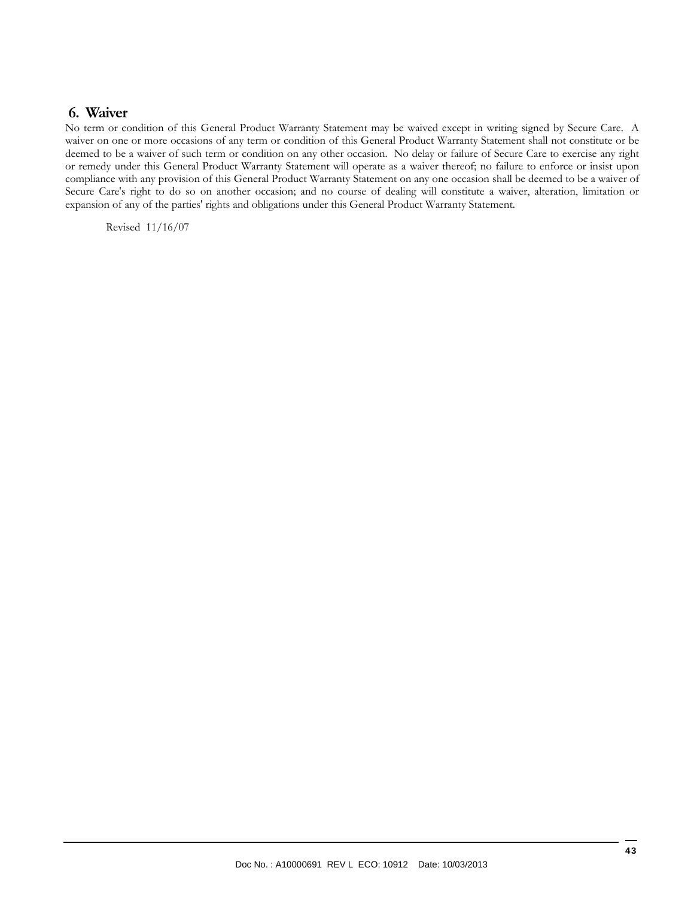#### **6. Waiver**

No term or condition of this General Product Warranty Statement may be waived except in writing signed by Secure Care. A waiver on one or more occasions of any term or condition of this General Product Warranty Statement shall not constitute or be deemed to be a waiver of such term or condition on any other occasion. No delay or failure of Secure Care to exercise any right or remedy under this General Product Warranty Statement will operate as a waiver thereof; no failure to enforce or insist upon compliance with any provision of this General Product Warranty Statement on any one occasion shall be deemed to be a waiver of Secure Care's right to do so on another occasion; and no course of dealing will constitute a waiver, alteration, limitation or expansion of any of the parties' rights and obligations under this General Product Warranty Statement.

Revised 11/16/07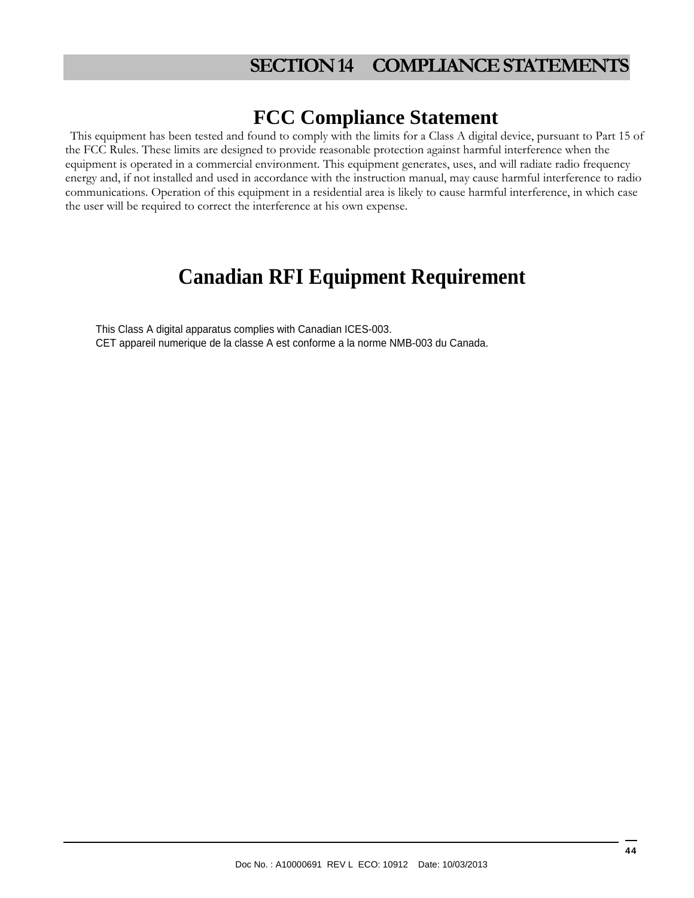# **SECTION 14 COMPLIANCE STATEMENTS**

# **FCC Compliance Statement**

This equipment has been tested and found to comply with the limits for a Class A digital device, pursuant to Part 15 of the FCC Rules. These limits are designed to provide reasonable protection against harmful interference when the equipment is operated in a commercial environment. This equipment generates, uses, and will radiate radio frequency energy and, if not installed and used in accordance with the instruction manual, may cause harmful interference to radio communications. Operation of this equipment in a residential area is likely to cause harmful interference, in which case the user will be required to correct the interference at his own expense.

# **Canadian RFI Equipment Requirement**

This Class A digital apparatus complies with Canadian ICES-003. CET appareil numerique de la classe A est conforme a la norme NMB-003 du Canada.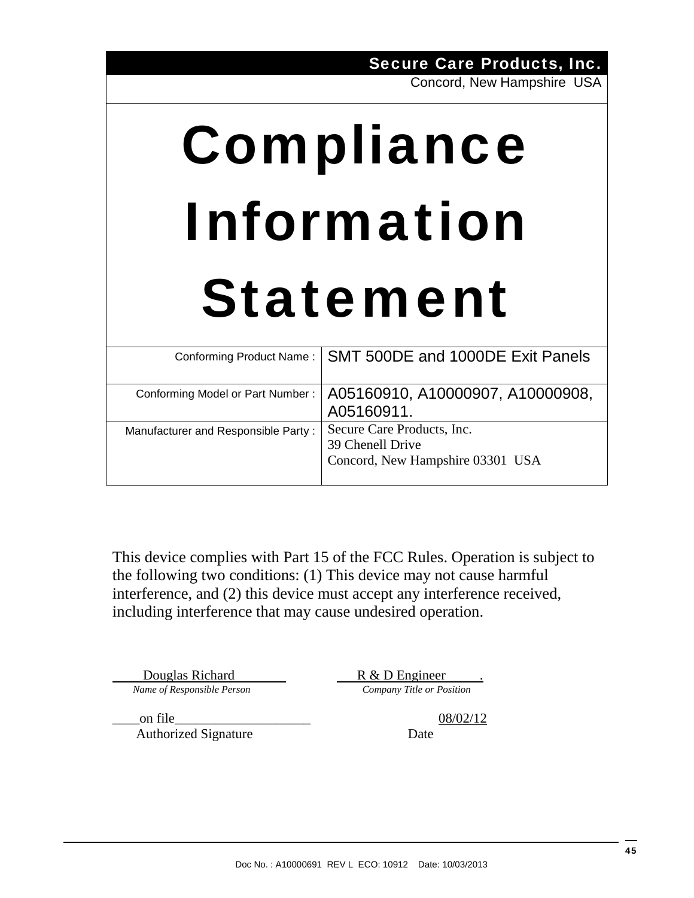Secure Care Products, Inc.

Concord, New Hampshire USA

# Compliance Information Statement

|                                     | Conforming Product Name:   SMT 500DE and 1000DE Exit Panels |
|-------------------------------------|-------------------------------------------------------------|
|                                     |                                                             |
| Conforming Model or Part Number:    | A05160910, A10000907, A10000908,                            |
|                                     | A05160911.                                                  |
| Manufacturer and Responsible Party: | Secure Care Products, Inc.                                  |
|                                     | 39 Chenell Drive                                            |
|                                     | Concord, New Hampshire 03301 USA                            |
|                                     |                                                             |

This device complies with Part 15 of the FCC Rules. Operation is subject to the following two conditions: (1) This device may not cause harmful interference, and (2) this device must accept any interference received, including interference that may cause undesired operation.

**Douglas Richard Responsible Person Company Title or Position Company Title or Position** 

Authorized Signature Date

 $\alpha$  on file  $\alpha$  08/02/12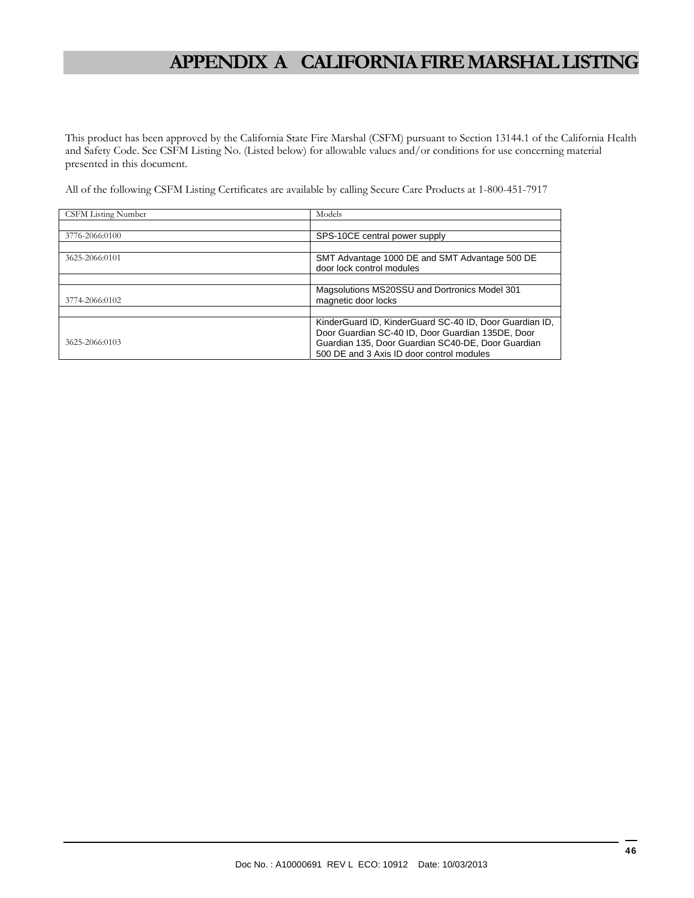# **APPENDIX A CALIFORNIA FIRE MARSHAL LISTING**

This product has been approved by the California State Fire Marshal (CSFM) pursuant to Section 13144.1 of the California Health and Safety Code. See CSFM Listing No. (Listed below) for allowable values and/or conditions for use concerning material presented in this document.

All of the following CSFM Listing Certificates are available by calling Secure Care Products at 1-800-451-7917

| <b>CSFM Listing Number</b> | Models                                                                                                                                                                                                          |
|----------------------------|-----------------------------------------------------------------------------------------------------------------------------------------------------------------------------------------------------------------|
|                            |                                                                                                                                                                                                                 |
| 3776-2066:0100             | SPS-10CE central power supply                                                                                                                                                                                   |
|                            |                                                                                                                                                                                                                 |
| 3625-2066:0101             | SMT Advantage 1000 DE and SMT Advantage 500 DE<br>door lock control modules                                                                                                                                     |
|                            |                                                                                                                                                                                                                 |
| 3774-2066:0102             | Magsolutions MS20SSU and Dortronics Model 301<br>magnetic door locks                                                                                                                                            |
|                            |                                                                                                                                                                                                                 |
| 3625-2066:0103             | KinderGuard ID, KinderGuard SC-40 ID, Door Guardian ID,<br>Door Guardian SC-40 ID, Door Guardian 135DE, Door<br>Guardian 135, Door Guardian SC40-DE, Door Guardian<br>500 DE and 3 Axis ID door control modules |